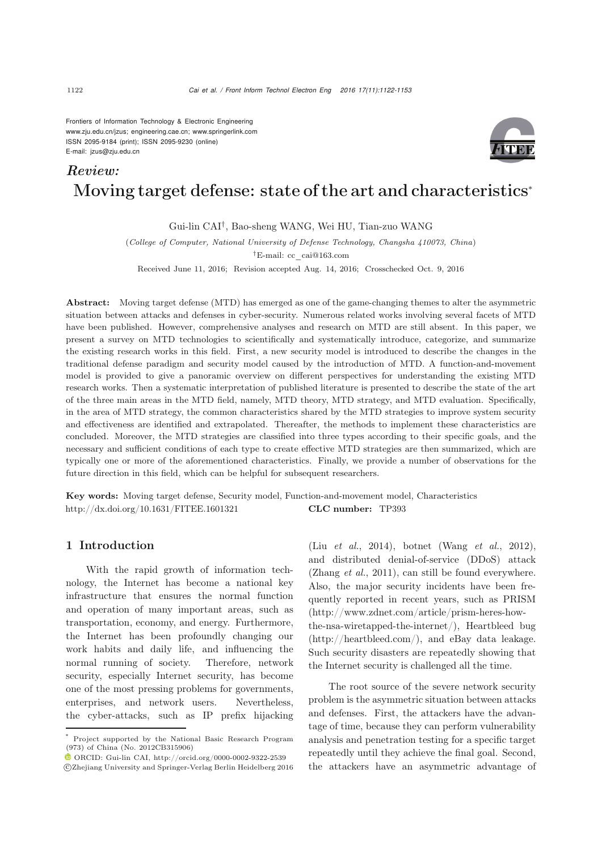Frontiers of Information Technology & Electronic Engineering www.zju.edu.cn/jzus; engineering.cae.cn; www.springerlink.com ISSN 2095-9184 (print); ISSN 2095-9230 (online) E-mail: jzus@zju.edu.cn

# *Review:* Moving target defense: state of the art and characteristics<sup>∗</sup>

Gui-lin CAI†, Bao-sheng WANG, Wei HU, Tian-zuo WANG

(*College of Computer, National University of Defense Technology, Changsha 410073, China*)

†E-mail: cc\_cai@163.com

Received June 11, 2016; Revision accepted Aug. 14, 2016; Crosschecked Oct. 9, 2016

Abstract: Moving target defense (MTD) has emerged as one of the game-changing themes to alter the asymmetric situation between attacks and defenses in cyber-security. Numerous related works involving several facets of MTD have been published. However, comprehensive analyses and research on MTD are still absent. In this paper, we present a survey on MTD technologies to scientifically and systematically introduce, categorize, and summarize the existing research works in this field. First, a new security model is introduced to describe the changes in the traditional defense paradigm and security model caused by the introduction of MTD. A function-and-movement model is provided to give a panoramic overview on different perspectives for understanding the existing MTD research works. Then a systematic interpretation of published literature is presented to describe the state of the art of the three main areas in the MTD field, namely, MTD theory, MTD strategy, and MTD evaluation. Specifically, in the area of MTD strategy, the common characteristics shared by the MTD strategies to improve system security and effectiveness are identified and extrapolated. Thereafter, the methods to implement these characteristics are concluded. Moreover, the MTD strategies are classified into three types according to their specific goals, and the necessary and sufficient conditions of each type to create effective MTD strategies are then summarized, which are typically one or more of the aforementioned characteristics. Finally, we provide a number of observations for the future direction in this field, which can be helpful for subsequent researchers.

Key words: Moving target defense, Security model, Function-and-movement model, Characteristics http://dx.doi.org/10.1631/FITEE.1601321 CLC number: TP393

# 1 Introduction

With the rapid growth of information technology, the Internet has become a national key infrastructure that ensures the normal function and operation of many important areas, such as transportation, economy, and energy. Furthermore, the Internet has been profoundly changing our work habits and daily life, and influencing the normal running of society. Therefore, network security, especially Internet security, has become one of the most pressing problems for governments, enterprises, and network users. Nevertheless, the cyber-attacks, such as IP prefix hijacking (Liu *et al.*, 2014), botnet (Wang *et al.*, 2012), and distributed denial-of-service (DDoS) attack (Zhang *et al.*, 2011), can still be found everywhere. Also, the major security incidents have been frequently reported in recent years, such as PRISM (http://www.zdnet.com/article/prism-heres-howthe-nsa-wiretapped-the-internet/), Heartbleed bug (http://heartbleed.com/), and eBay data leakage. Such security disasters are repeatedly showing that the Internet security is challenged all the time.

The root source of the severe network security problem is the asymmetric situation between attacks and defenses. First, the attackers have the advantage of time, because they can perform vulnerability analysis and penetration testing for a specific target repeatedly until they achieve the final goal. Second, the attackers have an asymmetric advantage of

Project supported by the National Basic Research Program (973) of China (No. 2012CB315906)

 $\bullet$  ORCID: Gui-lin CAI, http://orcid.org/0000-0002-9322-2539 c Zhejiang University and Springer-Verlag Berlin Heidelberg 2016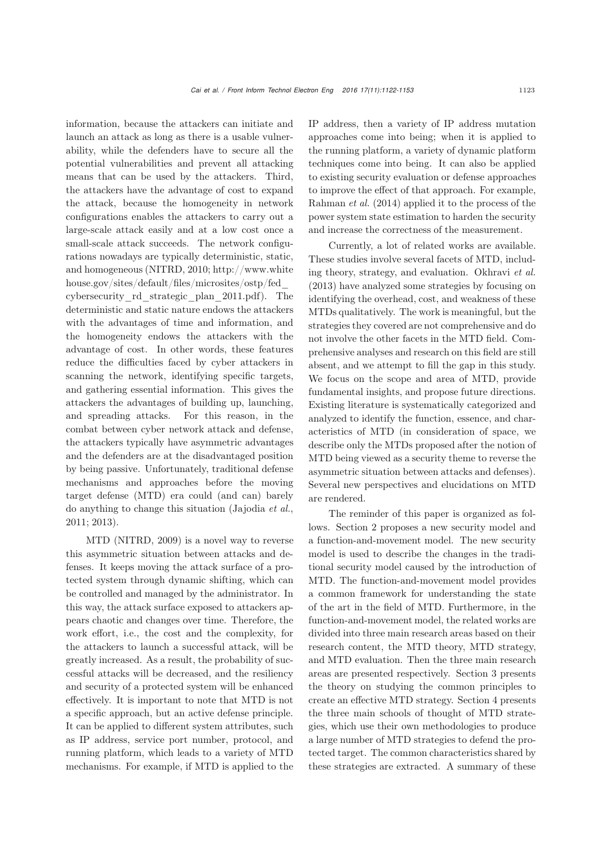information, because the attackers can initiate and launch an attack as long as there is a usable vulnerability, while the defenders have to secure all the potential vulnerabilities and prevent all attacking means that can be used by the attackers. Third, the attackers have the advantage of cost to expand the attack, because the homogeneity in network configurations enables the attackers to carry out a large-scale attack easily and at a low cost once a small-scale attack succeeds. The network configurations nowadays are typically deterministic, static, and homogeneous (NITRD, 2010; http://www.white house.gov/sites/default/files/microsites/ostp/fed\_ cybersecurity\_rd\_strategic\_plan\_2011.pdf). The deterministic and static nature endows the attackers with the advantages of time and information, and the homogeneity endows the attackers with the advantage of cost. In other words, these features reduce the difficulties faced by cyber attackers in scanning the network, identifying specific targets, and gathering essential information. This gives the attackers the advantages of building up, launching, and spreading attacks. For this reason, in the combat between cyber network attack and defense, the attackers typically have asymmetric advantages and the defenders are at the disadvantaged position by being passive. Unfortunately, traditional defense mechanisms and approaches before the moving target defense (MTD) era could (and can) barely do anything to change this situation (Jajodia *et al.*, 2011; 2013).

MTD (NITRD, 2009) is a novel way to reverse this asymmetric situation between attacks and defenses. It keeps moving the attack surface of a protected system through dynamic shifting, which can be controlled and managed by the administrator. In this way, the attack surface exposed to attackers appears chaotic and changes over time. Therefore, the work effort, i.e., the cost and the complexity, for the attackers to launch a successful attack, will be greatly increased. As a result, the probability of successful attacks will be decreased, and the resiliency and security of a protected system will be enhanced effectively. It is important to note that MTD is not a specific approach, but an active defense principle. It can be applied to different system attributes, such as IP address, service port number, protocol, and running platform, which leads to a variety of MTD mechanisms. For example, if MTD is applied to the IP address, then a variety of IP address mutation approaches come into being; when it is applied to the running platform, a variety of dynamic platform techniques come into being. It can also be applied to existing security evaluation or defense approaches to improve the effect of that approach. For example, Rahman *et al.* (2014) applied it to the process of the power system state estimation to harden the security and increase the correctness of the measurement.

Currently, a lot of related works are available. These studies involve several facets of MTD, including theory, strategy, and evaluation. Okhravi *et al.* (2013) have analyzed some strategies by focusing on identifying the overhead, cost, and weakness of these MTDs qualitatively. The work is meaningful, but the strategies they covered are not comprehensive and do not involve the other facets in the MTD field. Comprehensive analyses and research on this field are still absent, and we attempt to fill the gap in this study. We focus on the scope and area of MTD, provide fundamental insights, and propose future directions. Existing literature is systematically categorized and analyzed to identify the function, essence, and characteristics of MTD (in consideration of space, we describe only the MTDs proposed after the notion of MTD being viewed as a security theme to reverse the asymmetric situation between attacks and defenses). Several new perspectives and elucidations on MTD are rendered.

The reminder of this paper is organized as follows. Section 2 proposes a new security model and a function-and-movement model. The new security model is used to describe the changes in the traditional security model caused by the introduction of MTD. The function-and-movement model provides a common framework for understanding the state of the art in the field of MTD. Furthermore, in the function-and-movement model, the related works are divided into three main research areas based on their research content, the MTD theory, MTD strategy, and MTD evaluation. Then the three main research areas are presented respectively. Section 3 presents the theory on studying the common principles to create an effective MTD strategy. Section 4 presents the three main schools of thought of MTD strategies, which use their own methodologies to produce a large number of MTD strategies to defend the protected target. The common characteristics shared by these strategies are extracted. A summary of these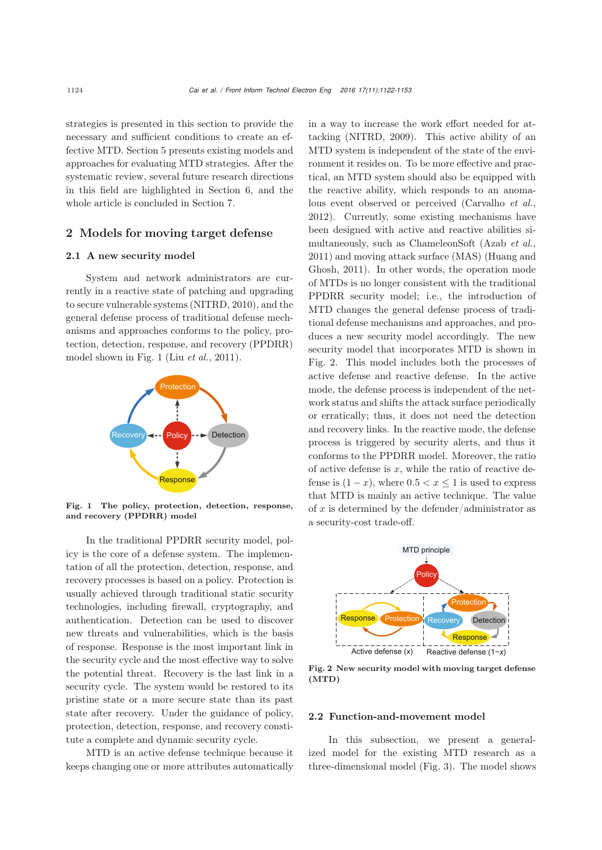strategies is presented in this section to provide the necessary and sufficient conditions to create an effective MTD. Section 5 presents existing models and approaches for evaluating MTD strategies. After the systematic review, several future research directions in this field are highlighted in Section 6, and the whole article is concluded in Section 7.

# 2 Models for moving target defense

## 2.1 A new security model

System and network administrators are currently in a reactive state of patching and upgrading to secure vulnerable systems (NITRD, 2010), and the general defense process of traditional defense mechanisms and approaches conforms to the policy, protection, detection, response, and recovery (PPDRR) model shown in Fig. 1 (Liu *et al.*, 2011).



Fig. 1 The policy, protection, detection, response, and recovery (PPDRR) model

In the traditional PPDRR security model, policy is the core of a defense system. The implementation of all the protection, detection, response, and recovery processes is based on a policy. Protection is usually achieved through traditional static security technologies, including firewall, cryptography, and authentication. Detection can be used to discover new threats and vulnerabilities, which is the basis of response. Response is the most important link in the security cycle and the most effective way to solve the potential threat. Recovery is the last link in a security cycle. The system would be restored to its pristine state or a more secure state than its past state after recovery. Under the guidance of policy, protection, detection, response, and recovery constitute a complete and dynamic security cycle.

MTD is an active defense technique because it keeps changing one or more attributes automatically in a way to increase the work effort needed for attacking (NITRD, 2009). This active ability of an MTD system is independent of the state of the environment it resides on. To be more effective and practical, an MTD system should also be equipped with the reactive ability, which responds to an anomalous event observed or perceived (Carvalho *et al.*, 2012). Currently, some existing mechanisms have been designed with active and reactive abilities simultaneously, such as ChameleonSoft (Azab *et al.*, 2011) and moving attack surface (MAS) (Huang and Ghosh, 2011). In other words, the operation mode of MTDs is no longer consistent with the traditional PPDRR security model; i.e., the introduction of MTD changes the general defense process of traditional defense mechanisms and approaches, and produces a new security model accordingly. The new security model that incorporates MTD is shown in Fig. 2. This model includes both the processes of active defense and reactive defense. In the active mode, the defense process is independent of the network status and shifts the attack surface periodically or erratically; thus, it does not need the detection and recovery links. In the reactive mode, the defense process is triggered by security alerts, and thus it conforms to the PPDRR model. Moreover, the ratio of active defense is  $x$ , while the ratio of reactive defense is  $(1-x)$ , where  $0.5 < x \leq 1$  is used to express that MTD is mainly an active technique. The value of  $x$  is determined by the defender/administrator as a security-cost trade-off.



Fig. 2 New security model with moving target defense (MTD)

#### 2.2 Function-and-movement model

In this subsection, we present a generalized model for the existing MTD research as a three-dimensional model (Fig. 3). The model shows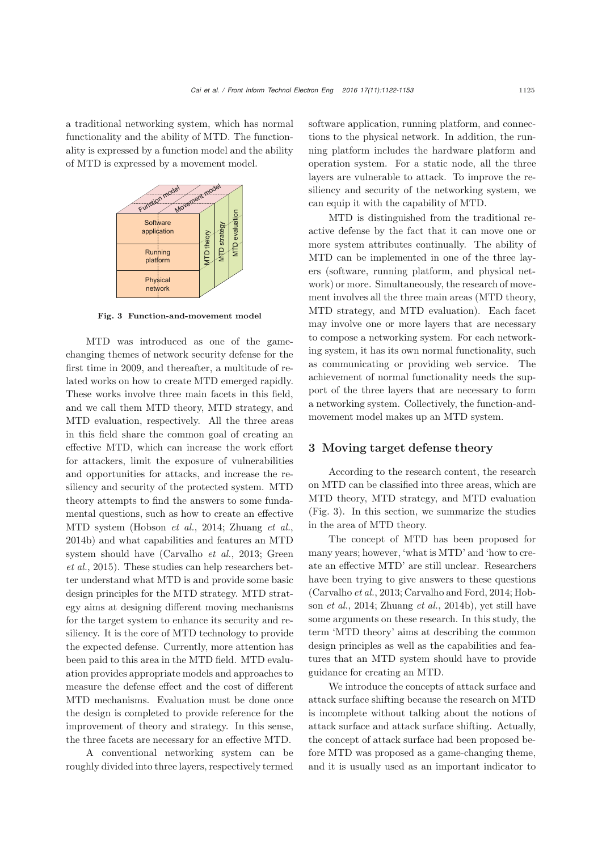a traditional networking system, which has normal functionality and the ability of MTD. The functionality is expressed by a function model and the ability of MTD is expressed by a movement model.



Fig. 3 Function-and-movement model

MTD was introduced as one of the gamechanging themes of network security defense for the first time in 2009, and thereafter, a multitude of related works on how to create MTD emerged rapidly. These works involve three main facets in this field, and we call them MTD theory, MTD strategy, and MTD evaluation, respectively. All the three areas in this field share the common goal of creating an effective MTD, which can increase the work effort for attackers, limit the exposure of vulnerabilities and opportunities for attacks, and increase the resiliency and security of the protected system. MTD theory attempts to find the answers to some fundamental questions, such as how to create an effective MTD system (Hobson *et al.*, 2014; Zhuang *et al.*, 2014b) and what capabilities and features an MTD system should have (Carvalho *et al.*, 2013; Green *et al.*, 2015). These studies can help researchers better understand what MTD is and provide some basic design principles for the MTD strategy. MTD strategy aims at designing different moving mechanisms for the target system to enhance its security and resiliency. It is the core of MTD technology to provide the expected defense. Currently, more attention has been paid to this area in the MTD field. MTD evaluation provides appropriate models and approaches to measure the defense effect and the cost of different MTD mechanisms. Evaluation must be done once the design is completed to provide reference for the improvement of theory and strategy. In this sense, the three facets are necessary for an effective MTD.

A conventional networking system can be roughly divided into three layers, respectively termed software application, running platform, and connections to the physical network. In addition, the running platform includes the hardware platform and operation system. For a static node, all the three layers are vulnerable to attack. To improve the resiliency and security of the networking system, we can equip it with the capability of MTD.

MTD is distinguished from the traditional reactive defense by the fact that it can move one or more system attributes continually. The ability of MTD can be implemented in one of the three layers (software, running platform, and physical network) or more. Simultaneously, the research of movement involves all the three main areas (MTD theory, MTD strategy, and MTD evaluation). Each facet may involve one or more layers that are necessary to compose a networking system. For each networking system, it has its own normal functionality, such as communicating or providing web service. The achievement of normal functionality needs the support of the three layers that are necessary to form a networking system. Collectively, the function-andmovement model makes up an MTD system.

# 3 Moving target defense theory

According to the research content, the research on MTD can be classified into three areas, which are MTD theory, MTD strategy, and MTD evaluation (Fig. 3). In this section, we summarize the studies in the area of MTD theory.

The concept of MTD has been proposed for many years; however, 'what is MTD' and 'how to create an effective MTD' are still unclear. Researchers have been trying to give answers to these questions (Carvalho *et al.*, 2013; Carvalho and Ford, 2014; Hobson *et al.*, 2014; Zhuang *et al.*, 2014b), yet still have some arguments on these research. In this study, the term 'MTD theory' aims at describing the common design principles as well as the capabilities and features that an MTD system should have to provide guidance for creating an MTD.

We introduce the concepts of attack surface and attack surface shifting because the research on MTD is incomplete without talking about the notions of attack surface and attack surface shifting. Actually, the concept of attack surface had been proposed before MTD was proposed as a game-changing theme, and it is usually used as an important indicator to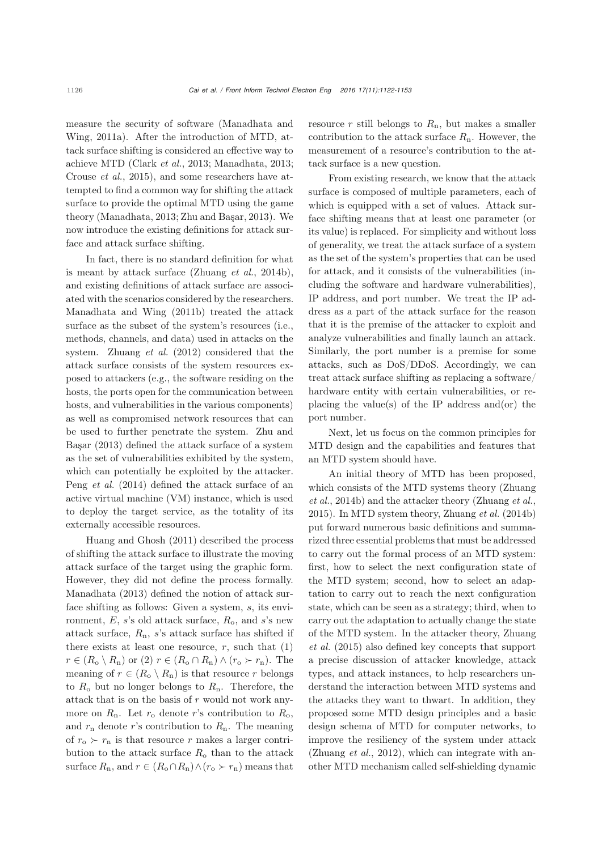measure the security of software (Manadhata and Wing, 2011a). After the introduction of MTD, attack surface shifting is considered an effective way to achieve MTD (Clark *et al.*, 2013; Manadhata, 2013; Crouse *et al.*, 2015), and some researchers have attempted to find a common way for shifting the attack surface to provide the optimal MTD using the game theory (Manadhata, 2013; Zhu and Başar, 2013). We now introduce the existing definitions for attack surface and attack surface shifting.

In fact, there is no standard definition for what is meant by attack surface (Zhuang *et al.*, 2014b), and existing definitions of attack surface are associated with the scenarios considered by the researchers. Manadhata and Wing (2011b) treated the attack surface as the subset of the system's resources (i.e., methods, channels, and data) used in attacks on the system. Zhuang *et al.* (2012) considered that the attack surface consists of the system resources exposed to attackers (e.g., the software residing on the hosts, the ports open for the communication between hosts, and vulnerabilities in the various components) as well as compromised network resources that can be used to further penetrate the system. Zhu and Başar (2013) defined the attack surface of a system as the set of vulnerabilities exhibited by the system, which can potentially be exploited by the attacker. Peng *et al.* (2014) defined the attack surface of an active virtual machine (VM) instance, which is used to deploy the target service, as the totality of its externally accessible resources.

Huang and Ghosh (2011) described the process of shifting the attack surface to illustrate the moving attack surface of the target using the graphic form. However, they did not define the process formally. Manadhata (2013) defined the notion of attack surface shifting as follows: Given a system, s, its environment,  $E$ , s's old attack surface,  $R_0$ , and s's new attack surface,  $R_n$ , s's attack surface has shifted if there exists at least one resource,  $r$ , such that  $(1)$  $r \in (R_{\rm o} \setminus R_{\rm n})$  or  $(2)$   $r \in (R_{\rm o} \cap R_{\rm n}) \wedge (r_{\rm o} \succ r_{\rm n})$ . The meaning of  $r \in (R_0 \setminus R_n)$  is that resource r belongs to  $R_0$  but no longer belongs to  $R_n$ . Therefore, the attack that is on the basis of  $r$  would not work anymore on  $R_n$ . Let  $r_0$  denote r's contribution to  $R_0$ , and  $r_n$  denote r's contribution to  $R_n$ . The meaning of  $r_o \succ r_n$  is that resource r makes a larger contribution to the attack surface  $R_0$  than to the attack surface  $R_n$ , and  $r \in (R_o \cap R_n) \wedge (r_o \succ r_n)$  means that

resource r still belongs to  $R_n$ , but makes a smaller contribution to the attack surface  $R_n$ . However, the measurement of a resource's contribution to the attack surface is a new question.

From existing research, we know that the attack surface is composed of multiple parameters, each of which is equipped with a set of values. Attack surface shifting means that at least one parameter (or its value) is replaced. For simplicity and without loss of generality, we treat the attack surface of a system as the set of the system's properties that can be used for attack, and it consists of the vulnerabilities (including the software and hardware vulnerabilities), IP address, and port number. We treat the IP address as a part of the attack surface for the reason that it is the premise of the attacker to exploit and analyze vulnerabilities and finally launch an attack. Similarly, the port number is a premise for some attacks, such as DoS/DDoS. Accordingly, we can treat attack surface shifting as replacing a software/ hardware entity with certain vulnerabilities, or replacing the value(s) of the IP address and(or) the port number.

Next, let us focus on the common principles for MTD design and the capabilities and features that an MTD system should have.

An initial theory of MTD has been proposed, which consists of the MTD systems theory (Zhuang *et al.*, 2014b) and the attacker theory (Zhuang *et al.*, 2015). In MTD system theory, Zhuang *et al.* (2014b) put forward numerous basic definitions and summarized three essential problems that must be addressed to carry out the formal process of an MTD system: first, how to select the next configuration state of the MTD system; second, how to select an adaptation to carry out to reach the next configuration state, which can be seen as a strategy; third, when to carry out the adaptation to actually change the state of the MTD system. In the attacker theory, Zhuang *et al.* (2015) also defined key concepts that support a precise discussion of attacker knowledge, attack types, and attack instances, to help researchers understand the interaction between MTD systems and the attacks they want to thwart. In addition, they proposed some MTD design principles and a basic design schema of MTD for computer networks, to improve the resiliency of the system under attack (Zhuang *et al.*, 2012), which can integrate with another MTD mechanism called self-shielding dynamic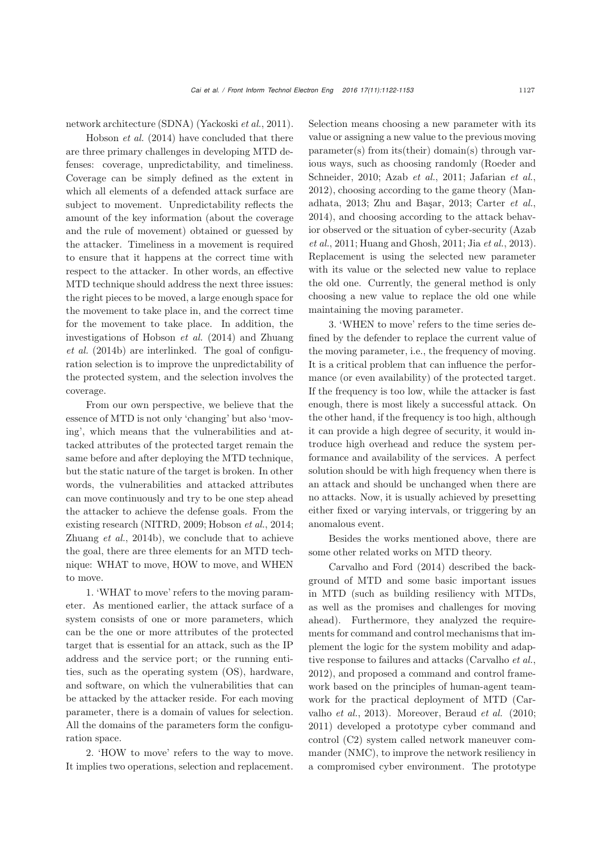network architecture (SDNA) (Yackoski *et al.*, 2011).

Hobson *et al.* (2014) have concluded that there are three primary challenges in developing MTD defenses: coverage, unpredictability, and timeliness. Coverage can be simply defined as the extent in which all elements of a defended attack surface are subject to movement. Unpredictability reflects the amount of the key information (about the coverage and the rule of movement) obtained or guessed by the attacker. Timeliness in a movement is required to ensure that it happens at the correct time with respect to the attacker. In other words, an effective MTD technique should address the next three issues: the right pieces to be moved, a large enough space for the movement to take place in, and the correct time for the movement to take place. In addition, the investigations of Hobson *et al.* (2014) and Zhuang *et al.* (2014b) are interlinked. The goal of configuration selection is to improve the unpredictability of the protected system, and the selection involves the coverage.

From our own perspective, we believe that the essence of MTD is not only 'changing' but also 'moving', which means that the vulnerabilities and attacked attributes of the protected target remain the same before and after deploying the MTD technique, but the static nature of the target is broken. In other words, the vulnerabilities and attacked attributes can move continuously and try to be one step ahead the attacker to achieve the defense goals. From the existing research (NITRD, 2009; Hobson *et al.*, 2014; Zhuang *et al.*, 2014b), we conclude that to achieve the goal, there are three elements for an MTD technique: WHAT to move, HOW to move, and WHEN to move.

1. 'WHAT to move' refers to the moving parameter. As mentioned earlier, the attack surface of a system consists of one or more parameters, which can be the one or more attributes of the protected target that is essential for an attack, such as the IP address and the service port; or the running entities, such as the operating system (OS), hardware, and software, on which the vulnerabilities that can be attacked by the attacker reside. For each moving parameter, there is a domain of values for selection. All the domains of the parameters form the configuration space.

2. 'HOW to move' refers to the way to move. It implies two operations, selection and replacement. Selection means choosing a new parameter with its value or assigning a new value to the previous moving parameter(s) from its(their) domain(s) through various ways, such as choosing randomly (Roeder and Schneider, 2010; Azab *et al.*, 2011; Jafarian *et al.*, 2012), choosing according to the game theory (Manadhata, 2013; Zhu and Başar, 2013; Carter *et al.*, 2014), and choosing according to the attack behavior observed or the situation of cyber-security (Azab *et al.*, 2011; Huang and Ghosh, 2011; Jia *et al.*, 2013). Replacement is using the selected new parameter with its value or the selected new value to replace the old one. Currently, the general method is only choosing a new value to replace the old one while maintaining the moving parameter.

3. 'WHEN to move' refers to the time series defined by the defender to replace the current value of the moving parameter, i.e., the frequency of moving. It is a critical problem that can influence the performance (or even availability) of the protected target. If the frequency is too low, while the attacker is fast enough, there is most likely a successful attack. On the other hand, if the frequency is too high, although it can provide a high degree of security, it would introduce high overhead and reduce the system performance and availability of the services. A perfect solution should be with high frequency when there is an attack and should be unchanged when there are no attacks. Now, it is usually achieved by presetting either fixed or varying intervals, or triggering by an anomalous event.

Besides the works mentioned above, there are some other related works on MTD theory.

Carvalho and Ford (2014) described the background of MTD and some basic important issues in MTD (such as building resiliency with MTDs, as well as the promises and challenges for moving ahead). Furthermore, they analyzed the requirements for command and control mechanisms that implement the logic for the system mobility and adaptive response to failures and attacks (Carvalho *et al.*, 2012), and proposed a command and control framework based on the principles of human-agent teamwork for the practical deployment of MTD (Carvalho *et al.*, 2013). Moreover, Beraud *et al.* (2010; 2011) developed a prototype cyber command and control (C2) system called network maneuver commander (NMC), to improve the network resiliency in a compromised cyber environment. The prototype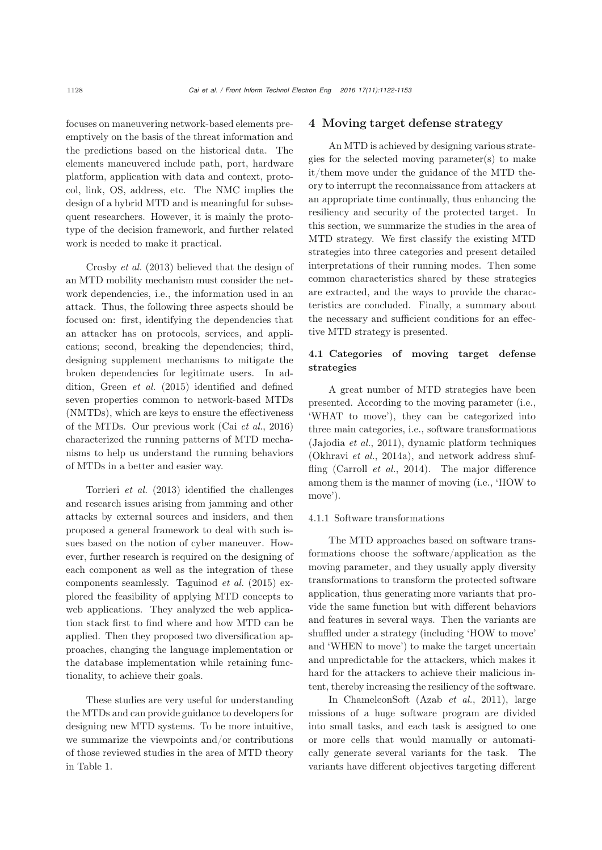focuses on maneuvering network-based elements preemptively on the basis of the threat information and the predictions based on the historical data. The elements maneuvered include path, port, hardware platform, application with data and context, protocol, link, OS, address, etc. The NMC implies the design of a hybrid MTD and is meaningful for subsequent researchers. However, it is mainly the prototype of the decision framework, and further related work is needed to make it practical.

Crosby *et al.* (2013) believed that the design of an MTD mobility mechanism must consider the network dependencies, i.e., the information used in an attack. Thus, the following three aspects should be focused on: first, identifying the dependencies that an attacker has on protocols, services, and applications; second, breaking the dependencies; third, designing supplement mechanisms to mitigate the broken dependencies for legitimate users. In addition, Green *et al.* (2015) identified and defined seven properties common to network-based MTDs (NMTDs), which are keys to ensure the effectiveness of the MTDs. Our previous work (Cai *et al.*, 2016) characterized the running patterns of MTD mechanisms to help us understand the running behaviors of MTDs in a better and easier way.

Torrieri *et al.* (2013) identified the challenges and research issues arising from jamming and other attacks by external sources and insiders, and then proposed a general framework to deal with such issues based on the notion of cyber maneuver. However, further research is required on the designing of each component as well as the integration of these components seamlessly. Taguinod *et al.* (2015) explored the feasibility of applying MTD concepts to web applications. They analyzed the web application stack first to find where and how MTD can be applied. Then they proposed two diversification approaches, changing the language implementation or the database implementation while retaining functionality, to achieve their goals.

These studies are very useful for understanding the MTDs and can provide guidance to developers for designing new MTD systems. To be more intuitive, we summarize the viewpoints and/or contributions of those reviewed studies in the area of MTD theory in Table 1.

# 4 Moving target defense strategy

An MTD is achieved by designing various strategies for the selected moving parameter(s) to make it/them move under the guidance of the MTD theory to interrupt the reconnaissance from attackers at an appropriate time continually, thus enhancing the resiliency and security of the protected target. In this section, we summarize the studies in the area of MTD strategy. We first classify the existing MTD strategies into three categories and present detailed interpretations of their running modes. Then some common characteristics shared by these strategies are extracted, and the ways to provide the characteristics are concluded. Finally, a summary about the necessary and sufficient conditions for an effective MTD strategy is presented.

# 4.1 Categories of moving target defense strategies

A great number of MTD strategies have been presented. According to the moving parameter (i.e., 'WHAT to move'), they can be categorized into three main categories, i.e., software transformations (Jajodia *et al.*, 2011), dynamic platform techniques (Okhravi *et al.*, 2014a), and network address shuffling (Carroll *et al.*, 2014). The major difference among them is the manner of moving (i.e., 'HOW to move').

#### 4.1.1 Software transformations

The MTD approaches based on software transformations choose the software/application as the moving parameter, and they usually apply diversity transformations to transform the protected software application, thus generating more variants that provide the same function but with different behaviors and features in several ways. Then the variants are shuffled under a strategy (including 'HOW to move' and 'WHEN to move') to make the target uncertain and unpredictable for the attackers, which makes it hard for the attackers to achieve their malicious intent, thereby increasing the resiliency of the software.

In ChameleonSoft (Azab *et al.*, 2011), large missions of a huge software program are divided into small tasks, and each task is assigned to one or more cells that would manually or automatically generate several variants for the task. The variants have different objectives targeting different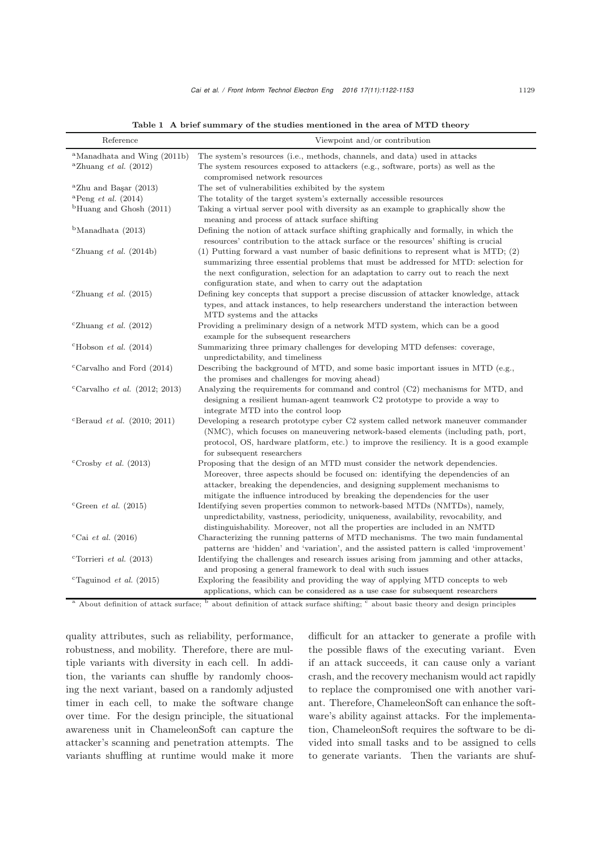| Reference                                                                           | Viewpoint and/or contribution                                                                                                                                                                                                                                                                                                   |
|-------------------------------------------------------------------------------------|---------------------------------------------------------------------------------------------------------------------------------------------------------------------------------------------------------------------------------------------------------------------------------------------------------------------------------|
| <sup>a</sup> Manadhata and Wing (2011b)<br><sup>a</sup> Zhuang <i>et al.</i> (2012) | The system's resources (i.e., methods, channels, and data) used in attacks<br>The system resources exposed to attackers (e.g., software, ports) as well as the<br>compromised network resources                                                                                                                                 |
| ${}^{\rm a}$ Zhu and Başar (2013)                                                   | The set of vulnerabilities exhibited by the system                                                                                                                                                                                                                                                                              |
| <sup>a</sup> Peng <i>et al.</i> $(2014)$                                            | The totality of the target system's externally accessible resources                                                                                                                                                                                                                                                             |
| $b$ Huang and Ghosh (2011)                                                          | Taking a virtual server pool with diversity as an example to graphically show the<br>meaning and process of attack surface shifting                                                                                                                                                                                             |
| $b$ Manadhata (2013)                                                                | Defining the notion of attack surface shifting graphically and formally, in which the<br>resources' contribution to the attack surface or the resources' shifting is crucial                                                                                                                                                    |
| <sup>c</sup> Zhuang <i>et al.</i> (2014b)                                           | (1) Putting forward a vast number of basic definitions to represent what is MTD; $(2)$<br>summarizing three essential problems that must be addressed for MTD: selection for<br>the next configuration, selection for an adaptation to carry out to reach the next<br>configuration state, and when to carry out the adaptation |
| <sup>c</sup> Zhuang <i>et al.</i> (2015)                                            | Defining key concepts that support a precise discussion of attacker knowledge, attack<br>types, and attack instances, to help researchers understand the interaction between<br>MTD systems and the attacks                                                                                                                     |
| <sup>c</sup> Zhuang <i>et al.</i> (2012)                                            | Providing a preliminary design of a network MTD system, which can be a good<br>example for the subsequent researchers                                                                                                                                                                                                           |
| <sup>c</sup> Hobson <i>et al.</i> (2014)                                            | Summarizing three primary challenges for developing MTD defenses: coverage,<br>unpredictability, and timeliness                                                                                                                                                                                                                 |
| $\rm ^{c}$ Carvalho and Ford (2014)                                                 | Describing the background of MTD, and some basic important issues in MTD (e.g.,<br>the promises and challenges for moving ahead)                                                                                                                                                                                                |
| <sup>c</sup> Carvalho <i>et al.</i> (2012; 2013)                                    | Analyzing the requirements for command and control (C2) mechanisms for MTD, and<br>designing a resilient human-agent teamwork C2 prototype to provide a way to<br>integrate MTD into the control loop                                                                                                                           |
| <sup>c</sup> Beraud <i>et al.</i> (2010; 2011)                                      | Developing a research prototype cyber C2 system called network maneuver commander<br>(NMC), which focuses on maneuvering network-based elements (including path, port,<br>protocol, OS, hardware platform, etc.) to improve the resiliency. It is a good example<br>for subsequent researchers                                  |
| <sup>c</sup> Crosby <i>et al.</i> (2013)                                            | Proposing that the design of an MTD must consider the network dependencies.<br>Moreover, three aspects should be focused on: identifying the dependencies of an<br>attacker, breaking the dependencies, and designing supplement mechanisms to<br>mitigate the influence introduced by breaking the dependencies for the user   |
| <sup>c</sup> Green <i>et al.</i> (2015)                                             | Identifying seven properties common to network-based MTDs (NMTDs), namely,<br>unpredictability, vastness, periodicity, uniqueness, availability, revocability, and<br>distinguishability. Moreover, not all the properties are included in an NMTD                                                                              |
| $\mathrm{c}_{\text{Cai} \text{ et al.} (2016)}$                                     | Characterizing the running patterns of MTD mechanisms. The two main fundamental<br>patterns are 'hidden' and 'variation', and the assisted pattern is called 'improvement'                                                                                                                                                      |
| <sup>c</sup> Torrieri <i>et al.</i> (2013)                                          | Identifying the challenges and research issues arising from jamming and other attacks,<br>and proposing a general framework to deal with such issues                                                                                                                                                                            |
| <sup>c</sup> Taguinod <i>et al.</i> (2015)                                          | Exploring the feasibility and providing the way of applying MTD concepts to web<br>applications, which can be considered as a use case for subsequent researchers                                                                                                                                                               |

Table 1 A brief summary of the studies mentioned in the area of MTD theory

<sup>a</sup> About definition of attack surface; <sup>b</sup> about definition of attack surface shifting;  $\degree$  about basic theory and design principles

quality attributes, such as reliability, performance, robustness, and mobility. Therefore, there are multiple variants with diversity in each cell. In addition, the variants can shuffle by randomly choosing the next variant, based on a randomly adjusted timer in each cell, to make the software change over time. For the design principle, the situational awareness unit in ChameleonSoft can capture the attacker's scanning and penetration attempts. The variants shuffling at runtime would make it more difficult for an attacker to generate a profile with the possible flaws of the executing variant. Even if an attack succeeds, it can cause only a variant crash, and the recovery mechanism would act rapidly to replace the compromised one with another variant. Therefore, ChameleonSoft can enhance the software's ability against attacks. For the implementation, ChameleonSoft requires the software to be divided into small tasks and to be assigned to cells to generate variants. Then the variants are shuf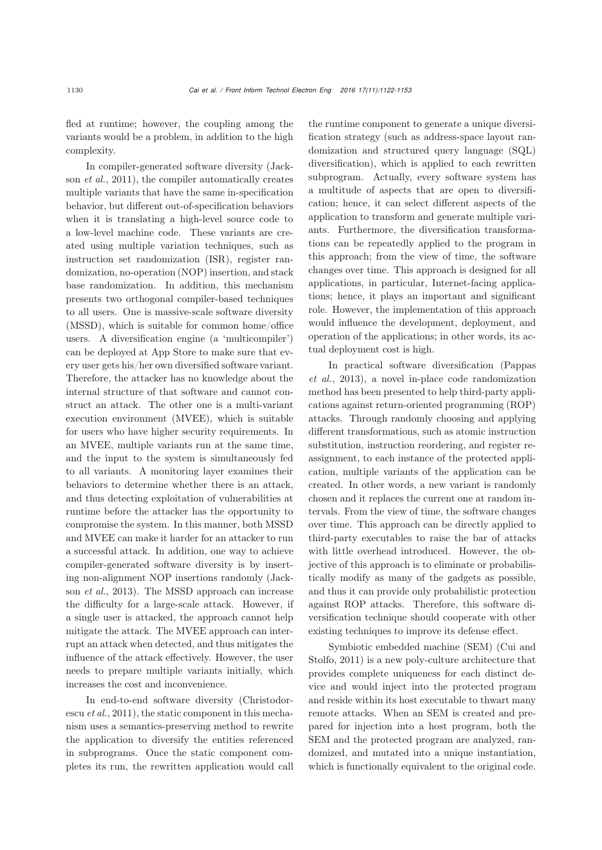fled at runtime; however, the coupling among the variants would be a problem, in addition to the high complexity.

In compiler-generated software diversity (Jackson *et al.*, 2011), the compiler automatically creates multiple variants that have the same in-specification behavior, but different out-of-specification behaviors when it is translating a high-level source code to a low-level machine code. These variants are created using multiple variation techniques, such as instruction set randomization (ISR), register randomization, no-operation (NOP) insertion, and stack base randomization. In addition, this mechanism presents two orthogonal compiler-based techniques to all users. One is massive-scale software diversity (MSSD), which is suitable for common home/office users. A diversification engine (a 'multicompiler') can be deployed at App Store to make sure that every user gets his/her own diversified software variant. Therefore, the attacker has no knowledge about the internal structure of that software and cannot construct an attack. The other one is a multi-variant execution environment (MVEE), which is suitable for users who have higher security requirements. In an MVEE, multiple variants run at the same time, and the input to the system is simultaneously fed to all variants. A monitoring layer examines their behaviors to determine whether there is an attack, and thus detecting exploitation of vulnerabilities at runtime before the attacker has the opportunity to compromise the system. In this manner, both MSSD and MVEE can make it harder for an attacker to run a successful attack. In addition, one way to achieve compiler-generated software diversity is by inserting non-alignment NOP insertions randomly (Jackson *et al.*, 2013). The MSSD approach can increase the difficulty for a large-scale attack. However, if a single user is attacked, the approach cannot help mitigate the attack. The MVEE approach can interrupt an attack when detected, and thus mitigates the influence of the attack effectively. However, the user needs to prepare multiple variants initially, which increases the cost and inconvenience.

In end-to-end software diversity (Christodorescu *et al.*, 2011), the static component in this mechanism uses a semantics-preserving method to rewrite the application to diversify the entities referenced in subprograms. Once the static component completes its run, the rewritten application would call

the runtime component to generate a unique diversification strategy (such as address-space layout randomization and structured query language (SQL) diversification), which is applied to each rewritten subprogram. Actually, every software system has a multitude of aspects that are open to diversification; hence, it can select different aspects of the application to transform and generate multiple variants. Furthermore, the diversification transformations can be repeatedly applied to the program in this approach; from the view of time, the software changes over time. This approach is designed for all applications, in particular, Internet-facing applications; hence, it plays an important and significant role. However, the implementation of this approach would influence the development, deployment, and operation of the applications; in other words, its actual deployment cost is high.

In practical software diversification (Pappas *et al.*, 2013), a novel in-place code randomization method has been presented to help third-party applications against return-oriented programming (ROP) attacks. Through randomly choosing and applying different transformations, such as atomic instruction substitution, instruction reordering, and register reassignment, to each instance of the protected application, multiple variants of the application can be created. In other words, a new variant is randomly chosen and it replaces the current one at random intervals. From the view of time, the software changes over time. This approach can be directly applied to third-party executables to raise the bar of attacks with little overhead introduced. However, the objective of this approach is to eliminate or probabilistically modify as many of the gadgets as possible, and thus it can provide only probabilistic protection against ROP attacks. Therefore, this software diversification technique should cooperate with other existing techniques to improve its defense effect.

Symbiotic embedded machine (SEM) (Cui and Stolfo, 2011) is a new poly-culture architecture that provides complete uniqueness for each distinct device and would inject into the protected program and reside within its host executable to thwart many remote attacks. When an SEM is created and prepared for injection into a host program, both the SEM and the protected program are analyzed, randomized, and mutated into a unique instantiation, which is functionally equivalent to the original code.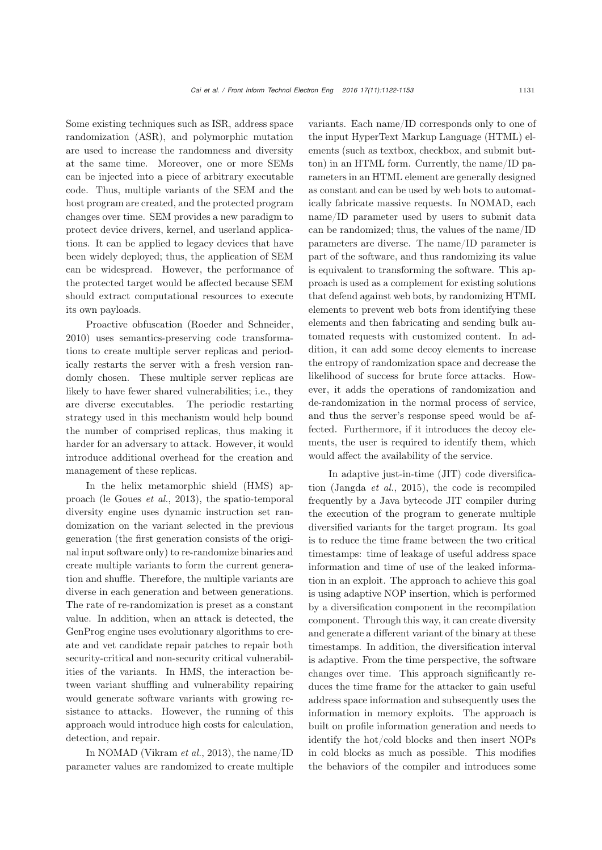Some existing techniques such as ISR, address space randomization (ASR), and polymorphic mutation are used to increase the randomness and diversity at the same time. Moreover, one or more SEMs can be injected into a piece of arbitrary executable code. Thus, multiple variants of the SEM and the host program are created, and the protected program changes over time. SEM provides a new paradigm to protect device drivers, kernel, and userland applications. It can be applied to legacy devices that have been widely deployed; thus, the application of SEM can be widespread. However, the performance of the protected target would be affected because SEM should extract computational resources to execute its own payloads.

Proactive obfuscation (Roeder and Schneider, 2010) uses semantics-preserving code transformations to create multiple server replicas and periodically restarts the server with a fresh version randomly chosen. These multiple server replicas are likely to have fewer shared vulnerabilities; i.e., they are diverse executables. The periodic restarting strategy used in this mechanism would help bound the number of comprised replicas, thus making it harder for an adversary to attack. However, it would introduce additional overhead for the creation and management of these replicas.

In the helix metamorphic shield (HMS) approach (le Goues *et al.*, 2013), the spatio-temporal diversity engine uses dynamic instruction set randomization on the variant selected in the previous generation (the first generation consists of the original input software only) to re-randomize binaries and create multiple variants to form the current generation and shuffle. Therefore, the multiple variants are diverse in each generation and between generations. The rate of re-randomization is preset as a constant value. In addition, when an attack is detected, the GenProg engine uses evolutionary algorithms to create and vet candidate repair patches to repair both security-critical and non-security critical vulnerabilities of the variants. In HMS, the interaction between variant shuffling and vulnerability repairing would generate software variants with growing resistance to attacks. However, the running of this approach would introduce high costs for calculation, detection, and repair.

In NOMAD (Vikram *et al.*, 2013), the name/ID parameter values are randomized to create multiple variants. Each name/ID corresponds only to one of the input HyperText Markup Language (HTML) elements (such as textbox, checkbox, and submit button) in an HTML form. Currently, the name/ID parameters in an HTML element are generally designed as constant and can be used by web bots to automatically fabricate massive requests. In NOMAD, each name/ID parameter used by users to submit data can be randomized; thus, the values of the name/ID parameters are diverse. The name/ID parameter is part of the software, and thus randomizing its value is equivalent to transforming the software. This approach is used as a complement for existing solutions that defend against web bots, by randomizing HTML elements to prevent web bots from identifying these elements and then fabricating and sending bulk automated requests with customized content. In addition, it can add some decoy elements to increase the entropy of randomization space and decrease the likelihood of success for brute force attacks. However, it adds the operations of randomization and de-randomization in the normal process of service, and thus the server's response speed would be affected. Furthermore, if it introduces the decoy elements, the user is required to identify them, which would affect the availability of the service.

In adaptive just-in-time (JIT) code diversification (Jangda *et al.*, 2015), the code is recompiled frequently by a Java bytecode JIT compiler during the execution of the program to generate multiple diversified variants for the target program. Its goal is to reduce the time frame between the two critical timestamps: time of leakage of useful address space information and time of use of the leaked information in an exploit. The approach to achieve this goal is using adaptive NOP insertion, which is performed by a diversification component in the recompilation component. Through this way, it can create diversity and generate a different variant of the binary at these timestamps. In addition, the diversification interval is adaptive. From the time perspective, the software changes over time. This approach significantly reduces the time frame for the attacker to gain useful address space information and subsequently uses the information in memory exploits. The approach is built on profile information generation and needs to identify the hot/cold blocks and then insert NOPs in cold blocks as much as possible. This modifies the behaviors of the compiler and introduces some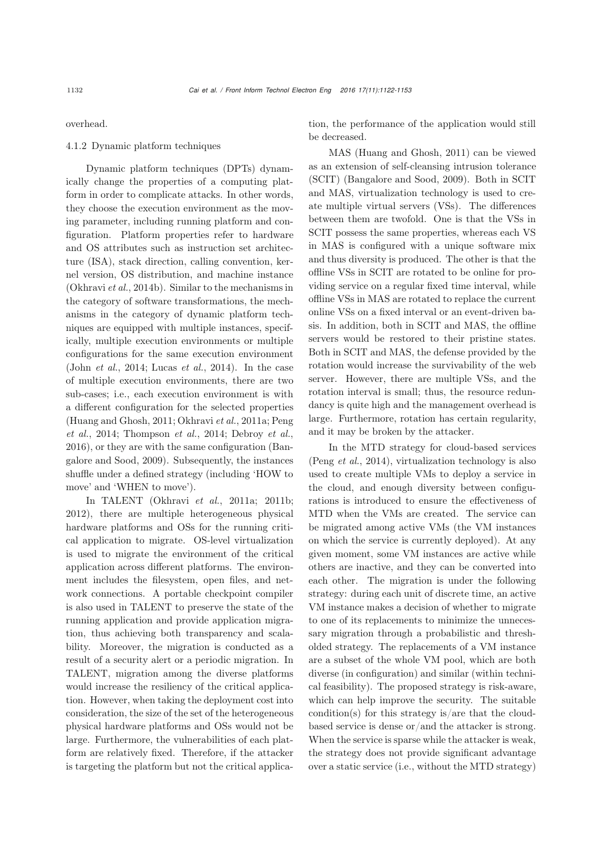overhead.

## 4.1.2 Dynamic platform techniques

Dynamic platform techniques (DPTs) dynamically change the properties of a computing platform in order to complicate attacks. In other words, they choose the execution environment as the moving parameter, including running platform and configuration. Platform properties refer to hardware and OS attributes such as instruction set architecture (ISA), stack direction, calling convention, kernel version, OS distribution, and machine instance (Okhravi *et al.*, 2014b). Similar to the mechanisms in the category of software transformations, the mechanisms in the category of dynamic platform techniques are equipped with multiple instances, specifically, multiple execution environments or multiple configurations for the same execution environment (John *et al.*, 2014; Lucas *et al.*, 2014). In the case of multiple execution environments, there are two sub-cases; i.e., each execution environment is with a different configuration for the selected properties (Huang and Ghosh, 2011; Okhravi *et al.*, 2011a; Peng *et al.*, 2014; Thompson *et al.*, 2014; Debroy *et al.*, 2016), or they are with the same configuration (Bangalore and Sood, 2009). Subsequently, the instances shuffle under a defined strategy (including 'HOW to move' and 'WHEN to move').

In TALENT (Okhravi *et al.*, 2011a; 2011b; 2012), there are multiple heterogeneous physical hardware platforms and OSs for the running critical application to migrate. OS-level virtualization is used to migrate the environment of the critical application across different platforms. The environment includes the filesystem, open files, and network connections. A portable checkpoint compiler is also used in TALENT to preserve the state of the running application and provide application migration, thus achieving both transparency and scalability. Moreover, the migration is conducted as a result of a security alert or a periodic migration. In TALENT, migration among the diverse platforms would increase the resiliency of the critical application. However, when taking the deployment cost into consideration, the size of the set of the heterogeneous physical hardware platforms and OSs would not be large. Furthermore, the vulnerabilities of each platform are relatively fixed. Therefore, if the attacker is targeting the platform but not the critical application, the performance of the application would still be decreased.

MAS (Huang and Ghosh, 2011) can be viewed as an extension of self-cleansing intrusion tolerance (SCIT) (Bangalore and Sood, 2009). Both in SCIT and MAS, virtualization technology is used to create multiple virtual servers (VSs). The differences between them are twofold. One is that the VSs in SCIT possess the same properties, whereas each VS in MAS is configured with a unique software mix and thus diversity is produced. The other is that the offline VSs in SCIT are rotated to be online for providing service on a regular fixed time interval, while offline VSs in MAS are rotated to replace the current online VSs on a fixed interval or an event-driven basis. In addition, both in SCIT and MAS, the offline servers would be restored to their pristine states. Both in SCIT and MAS, the defense provided by the rotation would increase the survivability of the web server. However, there are multiple VSs, and the rotation interval is small; thus, the resource redundancy is quite high and the management overhead is large. Furthermore, rotation has certain regularity, and it may be broken by the attacker.

In the MTD strategy for cloud-based services (Peng *et al.*, 2014), virtualization technology is also used to create multiple VMs to deploy a service in the cloud, and enough diversity between configurations is introduced to ensure the effectiveness of MTD when the VMs are created. The service can be migrated among active VMs (the VM instances on which the service is currently deployed). At any given moment, some VM instances are active while others are inactive, and they can be converted into each other. The migration is under the following strategy: during each unit of discrete time, an active VM instance makes a decision of whether to migrate to one of its replacements to minimize the unnecessary migration through a probabilistic and thresholded strategy. The replacements of a VM instance are a subset of the whole VM pool, which are both diverse (in configuration) and similar (within technical feasibility). The proposed strategy is risk-aware, which can help improve the security. The suitable condition(s) for this strategy is/are that the cloudbased service is dense or/and the attacker is strong. When the service is sparse while the attacker is weak, the strategy does not provide significant advantage over a static service (i.e., without the MTD strategy)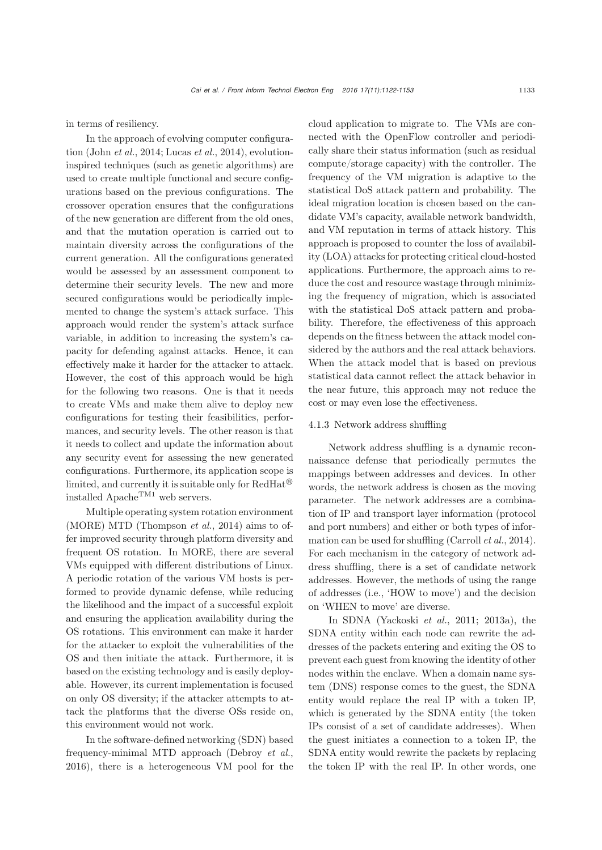in terms of resiliency.

In the approach of evolving computer configuration (John *et al.*, 2014; Lucas *et al.*, 2014), evolutioninspired techniques (such as genetic algorithms) are used to create multiple functional and secure configurations based on the previous configurations. The crossover operation ensures that the configurations of the new generation are different from the old ones, and that the mutation operation is carried out to maintain diversity across the configurations of the current generation. All the configurations generated would be assessed by an assessment component to determine their security levels. The new and more secured configurations would be periodically implemented to change the system's attack surface. This approach would render the system's attack surface variable, in addition to increasing the system's capacity for defending against attacks. Hence, it can effectively make it harder for the attacker to attack. However, the cost of this approach would be high for the following two reasons. One is that it needs to create VMs and make them alive to deploy new configurations for testing their feasibilities, performances, and security levels. The other reason is that it needs to collect and update the information about any security event for assessing the new generated configurations. Furthermore, its application scope is limited, and currently it is suitable only for  $\text{RedHat}^{\circledR}$ installed Apache<sup>TM1</sup> web servers.

Multiple operating system rotation environment (MORE) MTD (Thompson *et al.*, 2014) aims to offer improved security through platform diversity and frequent OS rotation. In MORE, there are several VMs equipped with different distributions of Linux. A periodic rotation of the various VM hosts is performed to provide dynamic defense, while reducing the likelihood and the impact of a successful exploit and ensuring the application availability during the OS rotations. This environment can make it harder for the attacker to exploit the vulnerabilities of the OS and then initiate the attack. Furthermore, it is based on the existing technology and is easily deployable. However, its current implementation is focused on only OS diversity; if the attacker attempts to attack the platforms that the diverse OSs reside on, this environment would not work.

In the software-defined networking (SDN) based frequency-minimal MTD approach (Debroy *et al.*, 2016), there is a heterogeneous VM pool for the cloud application to migrate to. The VMs are connected with the OpenFlow controller and periodically share their status information (such as residual compute/storage capacity) with the controller. The frequency of the VM migration is adaptive to the statistical DoS attack pattern and probability. The ideal migration location is chosen based on the candidate VM's capacity, available network bandwidth, and VM reputation in terms of attack history. This approach is proposed to counter the loss of availability (LOA) attacks for protecting critical cloud-hosted applications. Furthermore, the approach aims to reduce the cost and resource wastage through minimizing the frequency of migration, which is associated with the statistical DoS attack pattern and probability. Therefore, the effectiveness of this approach depends on the fitness between the attack model considered by the authors and the real attack behaviors. When the attack model that is based on previous statistical data cannot reflect the attack behavior in the near future, this approach may not reduce the cost or may even lose the effectiveness.

#### 4.1.3 Network address shuffling

Network address shuffling is a dynamic reconnaissance defense that periodically permutes the mappings between addresses and devices. In other words, the network address is chosen as the moving parameter. The network addresses are a combination of IP and transport layer information (protocol and port numbers) and either or both types of information can be used for shuffling (Carroll *et al.*, 2014). For each mechanism in the category of network address shuffling, there is a set of candidate network addresses. However, the methods of using the range of addresses (i.e., 'HOW to move') and the decision on 'WHEN to move' are diverse.

In SDNA (Yackoski *et al.*, 2011; 2013a), the SDNA entity within each node can rewrite the addresses of the packets entering and exiting the OS to prevent each guest from knowing the identity of other nodes within the enclave. When a domain name system (DNS) response comes to the guest, the SDNA entity would replace the real IP with a token IP, which is generated by the SDNA entity (the token IPs consist of a set of candidate addresses). When the guest initiates a connection to a token IP, the SDNA entity would rewrite the packets by replacing the token IP with the real IP. In other words, one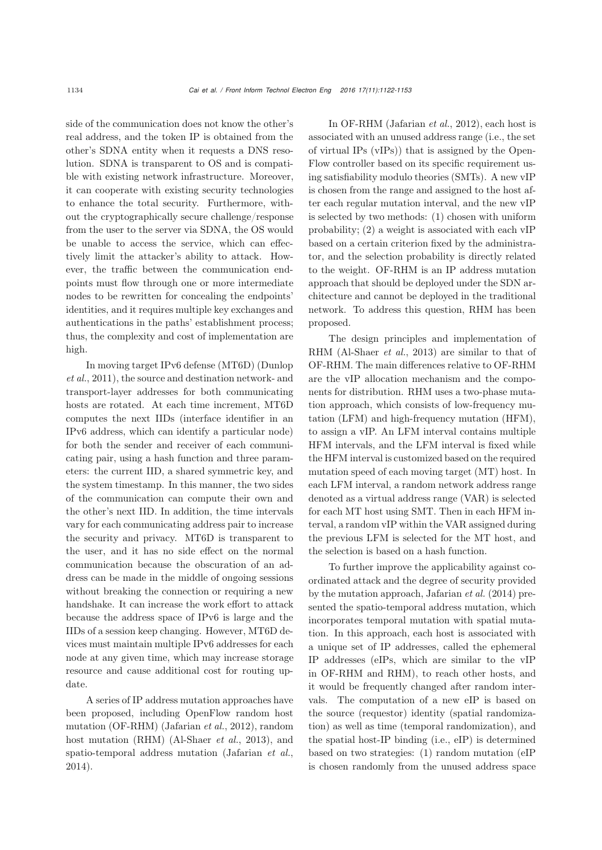side of the communication does not know the other's real address, and the token IP is obtained from the other's SDNA entity when it requests a DNS resolution. SDNA is transparent to OS and is compatible with existing network infrastructure. Moreover, it can cooperate with existing security technologies to enhance the total security. Furthermore, without the cryptographically secure challenge/response from the user to the server via SDNA, the OS would be unable to access the service, which can effectively limit the attacker's ability to attack. However, the traffic between the communication endpoints must flow through one or more intermediate nodes to be rewritten for concealing the endpoints' identities, and it requires multiple key exchanges and authentications in the paths' establishment process; thus, the complexity and cost of implementation are high.

In moving target IPv6 defense (MT6D) (Dunlop *et al.*, 2011), the source and destination network- and transport-layer addresses for both communicating hosts are rotated. At each time increment, MT6D computes the next IIDs (interface identifier in an IPv6 address, which can identify a particular node) for both the sender and receiver of each communicating pair, using a hash function and three parameters: the current IID, a shared symmetric key, and the system timestamp. In this manner, the two sides of the communication can compute their own and the other's next IID. In addition, the time intervals vary for each communicating address pair to increase the security and privacy. MT6D is transparent to the user, and it has no side effect on the normal communication because the obscuration of an address can be made in the middle of ongoing sessions without breaking the connection or requiring a new handshake. It can increase the work effort to attack because the address space of IPv6 is large and the IIDs of a session keep changing. However, MT6D devices must maintain multiple IPv6 addresses for each node at any given time, which may increase storage resource and cause additional cost for routing update.

A series of IP address mutation approaches have been proposed, including OpenFlow random host mutation (OF-RHM) (Jafarian *et al.*, 2012), random host mutation (RHM) (Al-Shaer *et al.*, 2013), and spatio-temporal address mutation (Jafarian *et al.*, 2014).

In OF-RHM (Jafarian *et al.*, 2012), each host is associated with an unused address range (i.e., the set of virtual IPs (vIPs)) that is assigned by the Open-Flow controller based on its specific requirement using satisfiability modulo theories (SMTs). A new vIP is chosen from the range and assigned to the host after each regular mutation interval, and the new vIP is selected by two methods: (1) chosen with uniform probability; (2) a weight is associated with each vIP based on a certain criterion fixed by the administrator, and the selection probability is directly related to the weight. OF-RHM is an IP address mutation approach that should be deployed under the SDN architecture and cannot be deployed in the traditional network. To address this question, RHM has been proposed.

The design principles and implementation of RHM (Al-Shaer *et al.*, 2013) are similar to that of OF-RHM. The main differences relative to OF-RHM are the vIP allocation mechanism and the components for distribution. RHM uses a two-phase mutation approach, which consists of low-frequency mutation (LFM) and high-frequency mutation (HFM), to assign a vIP. An LFM interval contains multiple HFM intervals, and the LFM interval is fixed while the HFM interval is customized based on the required mutation speed of each moving target (MT) host. In each LFM interval, a random network address range denoted as a virtual address range (VAR) is selected for each MT host using SMT. Then in each HFM interval, a random vIP within the VAR assigned during the previous LFM is selected for the MT host, and the selection is based on a hash function.

To further improve the applicability against coordinated attack and the degree of security provided by the mutation approach, Jafarian *et al.* (2014) presented the spatio-temporal address mutation, which incorporates temporal mutation with spatial mutation. In this approach, each host is associated with a unique set of IP addresses, called the ephemeral IP addresses (eIPs, which are similar to the vIP in OF-RHM and RHM), to reach other hosts, and it would be frequently changed after random intervals. The computation of a new eIP is based on the source (requestor) identity (spatial randomization) as well as time (temporal randomization), and the spatial host-IP binding (i.e., eIP) is determined based on two strategies: (1) random mutation (eIP is chosen randomly from the unused address space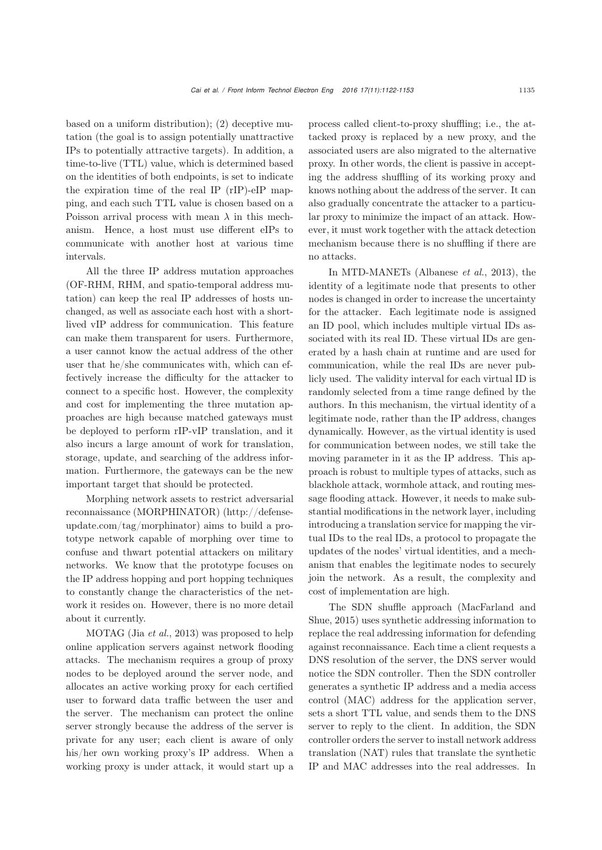based on a uniform distribution); (2) deceptive mutation (the goal is to assign potentially unattractive IPs to potentially attractive targets). In addition, a time-to-live (TTL) value, which is determined based on the identities of both endpoints, is set to indicate the expiration time of the real IP (rIP)-eIP mapping, and each such TTL value is chosen based on a Poisson arrival process with mean  $\lambda$  in this mechanism. Hence, a host must use different eIPs to communicate with another host at various time intervals.

All the three IP address mutation approaches (OF-RHM, RHM, and spatio-temporal address mutation) can keep the real IP addresses of hosts unchanged, as well as associate each host with a shortlived vIP address for communication. This feature can make them transparent for users. Furthermore, a user cannot know the actual address of the other user that he/she communicates with, which can effectively increase the difficulty for the attacker to connect to a specific host. However, the complexity and cost for implementing the three mutation approaches are high because matched gateways must be deployed to perform rIP-vIP translation, and it also incurs a large amount of work for translation, storage, update, and searching of the address information. Furthermore, the gateways can be the new important target that should be protected.

Morphing network assets to restrict adversarial reconnaissance (MORPHINATOR) (http://defenseupdate.com/tag/morphinator) aims to build a prototype network capable of morphing over time to confuse and thwart potential attackers on military networks. We know that the prototype focuses on the IP address hopping and port hopping techniques to constantly change the characteristics of the network it resides on. However, there is no more detail about it currently.

MOTAG (Jia *et al.*, 2013) was proposed to help online application servers against network flooding attacks. The mechanism requires a group of proxy nodes to be deployed around the server node, and allocates an active working proxy for each certified user to forward data traffic between the user and the server. The mechanism can protect the online server strongly because the address of the server is private for any user; each client is aware of only his/her own working proxy's IP address. When a working proxy is under attack, it would start up a

process called client-to-proxy shuffling; i.e., the attacked proxy is replaced by a new proxy, and the associated users are also migrated to the alternative proxy. In other words, the client is passive in accepting the address shuffling of its working proxy and knows nothing about the address of the server. It can also gradually concentrate the attacker to a particular proxy to minimize the impact of an attack. However, it must work together with the attack detection mechanism because there is no shuffling if there are no attacks.

In MTD-MANETs (Albanese *et al.*, 2013), the identity of a legitimate node that presents to other nodes is changed in order to increase the uncertainty for the attacker. Each legitimate node is assigned an ID pool, which includes multiple virtual IDs associated with its real ID. These virtual IDs are generated by a hash chain at runtime and are used for communication, while the real IDs are never publicly used. The validity interval for each virtual ID is randomly selected from a time range defined by the authors. In this mechanism, the virtual identity of a legitimate node, rather than the IP address, changes dynamically. However, as the virtual identity is used for communication between nodes, we still take the moving parameter in it as the IP address. This approach is robust to multiple types of attacks, such as blackhole attack, wormhole attack, and routing message flooding attack. However, it needs to make substantial modifications in the network layer, including introducing a translation service for mapping the virtual IDs to the real IDs, a protocol to propagate the updates of the nodes' virtual identities, and a mechanism that enables the legitimate nodes to securely join the network. As a result, the complexity and cost of implementation are high.

The SDN shuffle approach (MacFarland and Shue, 2015) uses synthetic addressing information to replace the real addressing information for defending against reconnaissance. Each time a client requests a DNS resolution of the server, the DNS server would notice the SDN controller. Then the SDN controller generates a synthetic IP address and a media access control (MAC) address for the application server, sets a short TTL value, and sends them to the DNS server to reply to the client. In addition, the SDN controller orders the server to install network address translation (NAT) rules that translate the synthetic IP and MAC addresses into the real addresses. In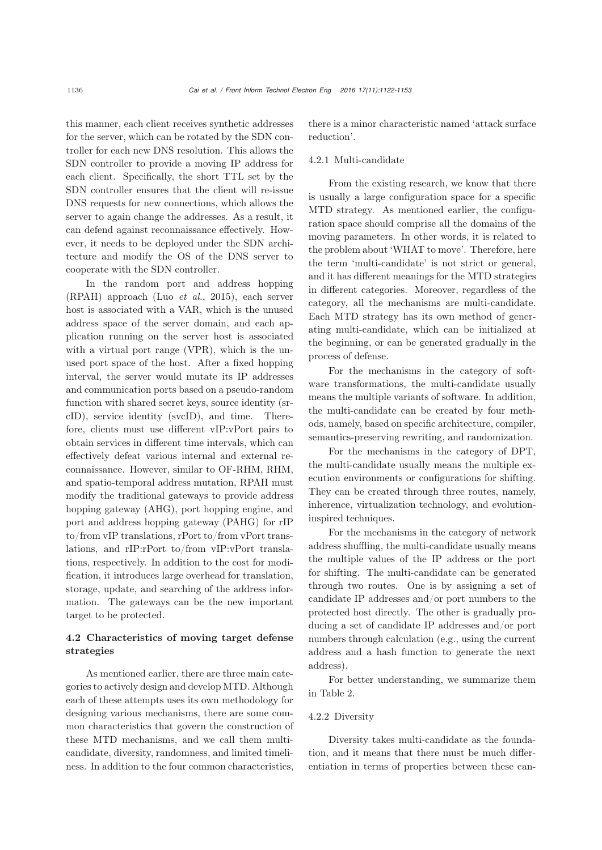this manner, each client receives synthetic addresses for the server, which can be rotated by the SDN controller for each new DNS resolution. This allows the SDN controller to provide a moving IP address for each client. Specifically, the short TTL set by the SDN controller ensures that the client will re-issue DNS requests for new connections, which allows the server to again change the addresses. As a result, it can defend against reconnaissance effectively. However, it needs to be deployed under the SDN architecture and modify the OS of the DNS server to cooperate with the SDN controller.

In the random port and address hopping (RPAH) approach (Luo *et al.*, 2015), each server host is associated with a VAR, which is the unused address space of the server domain, and each application running on the server host is associated with a virtual port range (VPR), which is the unused port space of the host. After a fixed hopping interval, the server would mutate its IP addresses and communication ports based on a pseudo-random function with shared secret keys, source identity (srcID), service identity (svcID), and time. Therefore, clients must use different vIP:vPort pairs to obtain services in different time intervals, which can effectively defeat various internal and external reconnaissance. However, similar to OF-RHM, RHM, and spatio-temporal address mutation, RPAH must modify the traditional gateways to provide address hopping gateway (AHG), port hopping engine, and port and address hopping gateway (PAHG) for rIP to/from vIP translations, rPort to/from vPort translations, and rIP:rPort to/from vIP:vPort translations, respectively. In addition to the cost for modification, it introduces large overhead for translation, storage, update, and searching of the address information. The gateways can be the new important target to be protected.

# 4.2 Characteristics of moving target defense strategies

As mentioned earlier, there are three main categories to actively design and develop MTD. Although each of these attempts uses its own methodology for designing various mechanisms, there are some common characteristics that govern the construction of these MTD mechanisms, and we call them multicandidate, diversity, randomness, and limited timeliness. In addition to the four common characteristics, there is a minor characteristic named 'attack surface reduction'.

## 4.2.1 Multi-candidate

From the existing research, we know that there is usually a large configuration space for a specific MTD strategy. As mentioned earlier, the configuration space should comprise all the domains of the moving parameters. In other words, it is related to the problem about 'WHAT to move'. Therefore, here the term 'multi-candidate' is not strict or general, and it has different meanings for the MTD strategies in different categories. Moreover, regardless of the category, all the mechanisms are multi-candidate. Each MTD strategy has its own method of generating multi-candidate, which can be initialized at the beginning, or can be generated gradually in the process of defense.

For the mechanisms in the category of software transformations, the multi-candidate usually means the multiple variants of software. In addition, the multi-candidate can be created by four methods, namely, based on specific architecture, compiler, semantics-preserving rewriting, and randomization.

For the mechanisms in the category of DPT, the multi-candidate usually means the multiple execution environments or configurations for shifting. They can be created through three routes, namely, inherence, virtualization technology, and evolutioninspired techniques.

For the mechanisms in the category of network address shuffling, the multi-candidate usually means the multiple values of the IP address or the port for shifting. The multi-candidate can be generated through two routes. One is by assigning a set of candidate IP addresses and/or port numbers to the protected host directly. The other is gradually producing a set of candidate IP addresses and/or port numbers through calculation (e.g., using the current address and a hash function to generate the next address).

For better understanding, we summarize them in Table 2.

#### 4.2.2 Diversity

Diversity takes multi-candidate as the foundation, and it means that there must be much differentiation in terms of properties between these can-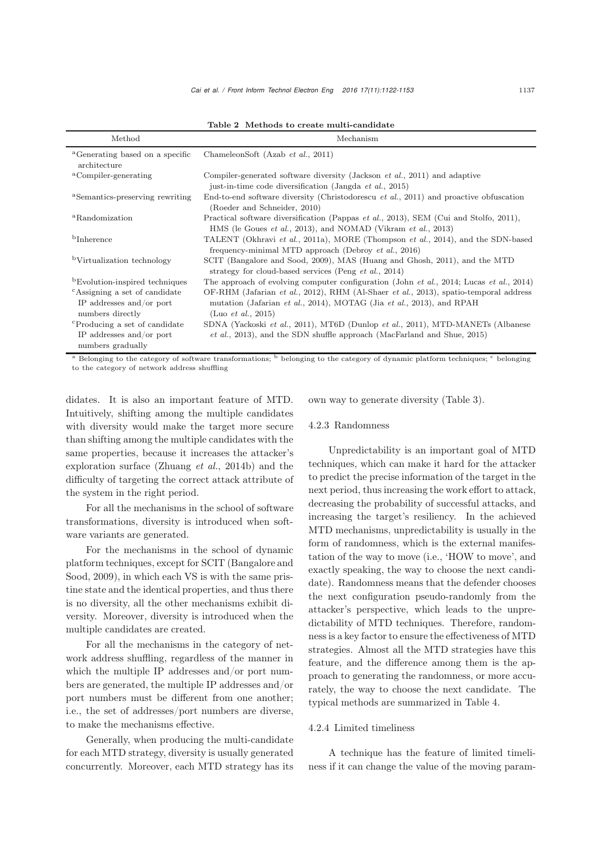| Method                                                      | Mechanism                                                                                                                                  |
|-------------------------------------------------------------|--------------------------------------------------------------------------------------------------------------------------------------------|
| <sup>a</sup> Generating based on a specific<br>architecture | ChameleonSoft (Azab et al., 2011)                                                                                                          |
| <sup>a</sup> Compiler-generating                            | Compiler-generated software diversity (Jackson <i>et al.</i> , 2011) and adaptive                                                          |
|                                                             | just-in-time code diversification (Jangda <i>et al.</i> , 2015)                                                                            |
| <sup>a</sup> Semantics-preserving rewriting                 | End-to-end software diversity (Christodorescu <i>et al.</i> , 2011) and proactive obfuscation<br>(Roeder and Schneider, 2010)              |
| <sup>a</sup> Randomization                                  | Practical software diversification (Pappas <i>et al.</i> , 2013), SEM (Cui and Stolfo, 2011),                                              |
|                                                             | HMS (le Goues <i>et al.</i> , 2013), and NOMAD (Vikram <i>et al.</i> , 2013)                                                               |
| <sup>b</sup> Inherence                                      | TALENT (Okhravi et al., 2011a), MORE (Thompson et al., 2014), and the SDN-based                                                            |
|                                                             | frequency-minimal MTD approach (Debroy <i>et al.</i> , 2016)                                                                               |
| <sup>b</sup> Virtualization technology                      | SCIT (Bangalore and Sood, 2009), MAS (Huang and Ghosh, 2011), and the MTD<br>strategy for cloud-based services (Peng <i>et al.</i> , 2014) |
| <sup>b</sup> Evolution-inspired techniques                  | The approach of evolving computer configuration (John $et al., 2014$ ; Lucas $et al., 2014$ )                                              |
| <sup>c</sup> Assigning a set of candidate                   | OF-RHM (Jafarian et al., 2012), RHM (Al-Shaer et al., 2013), spatio-temporal address                                                       |
| IP addresses and/or port                                    | mutation (Jafarian <i>et al.</i> , 2014), MOTAG (Jia <i>et al.</i> , 2013), and RPAH                                                       |
| numbers directly                                            | (Luo <i>et al.</i> , 2015)                                                                                                                 |
| <sup>c</sup> Producing a set of candidate                   | SDNA (Yackoski et al., 2011), MT6D (Dunlop et al., 2011), MTD-MANETs (Albanese                                                             |
| IP addresses and/or port                                    | <i>et al.</i> , 2013), and the SDN shuffle approach (MacFarland and Shue, 2015)                                                            |
| numbers gradually                                           |                                                                                                                                            |

Table 2 Methods to create multi-candidate

Belonging to the category of software transformations; <sup>b</sup> belonging to the category of dynamic platform techniques; <sup>c</sup> belonging to the category of network address shuffling

didates. It is also an important feature of MTD. Intuitively, shifting among the multiple candidates with diversity would make the target more secure than shifting among the multiple candidates with the same properties, because it increases the attacker's exploration surface (Zhuang *et al.*, 2014b) and the difficulty of targeting the correct attack attribute of the system in the right period.

For all the mechanisms in the school of software transformations, diversity is introduced when software variants are generated.

For the mechanisms in the school of dynamic platform techniques, except for SCIT (Bangalore and Sood, 2009), in which each VS is with the same pristine state and the identical properties, and thus there is no diversity, all the other mechanisms exhibit diversity. Moreover, diversity is introduced when the multiple candidates are created.

For all the mechanisms in the category of network address shuffling, regardless of the manner in which the multiple IP addresses and/or port numbers are generated, the multiple IP addresses and/or port numbers must be different from one another; i.e., the set of addresses/port numbers are diverse, to make the mechanisms effective.

Generally, when producing the multi-candidate for each MTD strategy, diversity is usually generated concurrently. Moreover, each MTD strategy has its own way to generate diversity (Table 3).

## 4.2.3 Randomness

Unpredictability is an important goal of MTD techniques, which can make it hard for the attacker to predict the precise information of the target in the next period, thus increasing the work effort to attack, decreasing the probability of successful attacks, and increasing the target's resiliency. In the achieved MTD mechanisms, unpredictability is usually in the form of randomness, which is the external manifestation of the way to move (i.e., 'HOW to move', and exactly speaking, the way to choose the next candidate). Randomness means that the defender chooses the next configuration pseudo-randomly from the attacker's perspective, which leads to the unpredictability of MTD techniques. Therefore, randomness is a key factor to ensure the effectiveness of MTD strategies. Almost all the MTD strategies have this feature, and the difference among them is the approach to generating the randomness, or more accurately, the way to choose the next candidate. The typical methods are summarized in Table 4.

## 4.2.4 Limited timeliness

A technique has the feature of limited timeliness if it can change the value of the moving param-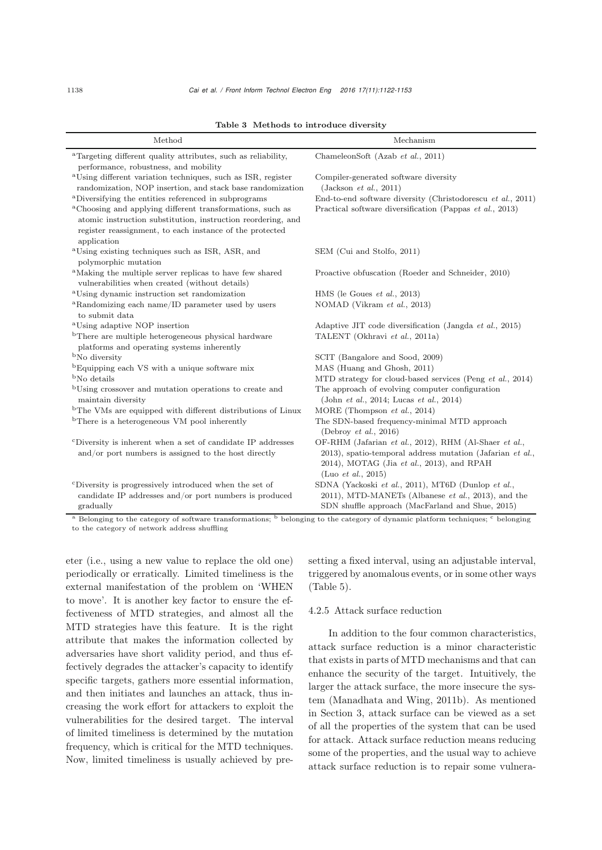| Method                                                                                                             | Mechanism                                                                                              |
|--------------------------------------------------------------------------------------------------------------------|--------------------------------------------------------------------------------------------------------|
| <sup>a</sup> Targeting different quality attributes, such as reliability,<br>performance, robustness, and mobility | ChameleonSoft (Azab et al., 2011)                                                                      |
| <sup>a</sup> Using different variation techniques, such as ISR, register                                           | Compiler-generated software diversity                                                                  |
| randomization, NOP insertion, and stack base randomization                                                         | $(Jackson \text{ } et \text{ } al., 2011)$                                                             |
| <sup>a</sup> Diversifying the entities referenced in subprograms                                                   | End-to-end software diversity (Christodorescu et al., 2011)                                            |
| <sup>a</sup> Choosing and applying different transformations, such as                                              | Practical software diversification (Pappas et al., 2013)                                               |
| atomic instruction substitution, instruction reordering, and                                                       |                                                                                                        |
| register reassignment, to each instance of the protected<br>application                                            |                                                                                                        |
| <sup>a</sup> Using existing techniques such as ISR, ASR, and                                                       | SEM (Cui and Stolfo, 2011)                                                                             |
| polymorphic mutation                                                                                               |                                                                                                        |
| <sup>a</sup> Making the multiple server replicas to have few shared                                                | Proactive obfuscation (Roeder and Schneider, 2010)                                                     |
| vulnerabilities when created (without details)                                                                     |                                                                                                        |
| <sup>a</sup> Using dynamic instruction set randomization                                                           | HMS (le Goues et al., 2013)                                                                            |
| <sup>a</sup> Randomizing each name/ID parameter used by users                                                      | NOMAD (Vikram et al., 2013)                                                                            |
| to submit data                                                                                                     |                                                                                                        |
| <sup>a</sup> Using adaptive NOP insertion                                                                          | Adaptive JIT code diversification (Jangda et al., 2015)                                                |
| <sup>b</sup> There are multiple heterogeneous physical hardware                                                    | TALENT (Okhravi et al., 2011a)                                                                         |
| platforms and operating systems inherently                                                                         |                                                                                                        |
| <sup>b</sup> No diversity                                                                                          | SCIT (Bangalore and Sood, 2009)                                                                        |
| <sup>b</sup> Equipping each VS with a unique software mix                                                          | MAS (Huang and Ghosh, 2011)                                                                            |
| <sup>b</sup> No details                                                                                            | MTD strategy for cloud-based services (Peng et al., 2014)                                              |
| <sup>b</sup> Using crossover and mutation operations to create and                                                 | The approach of evolving computer configuration                                                        |
| maintain diversity                                                                                                 | (John et al., 2014; Lucas et al., 2014)                                                                |
| <sup>b</sup> The VMs are equipped with different distributions of Linux                                            | MORE (Thompson $et al., 2014$ )                                                                        |
| <sup>b</sup> There is a heterogeneous VM pool inherently                                                           | The SDN-based frequency-minimal MTD approach<br>(Debroy $et \ al., 2016$ )                             |
| <sup>c</sup> Diversity is inherent when a set of candidate IP addresses                                            | OF-RHM (Jafarian et al., 2012), RHM (Al-Shaer et al.,                                                  |
| and/or port numbers is assigned to the host directly                                                               | 2013), spatio-temporal address mutation (Jafarian et al.,<br>2014), MOTAG (Jia et al., 2013), and RPAH |
|                                                                                                                    | (Luo <i>et al.</i> , 2015)                                                                             |
| <sup>c</sup> Diversity is progressively introduced when the set of                                                 | SDNA (Yackoski et al., 2011), MT6D (Dunlop et al.,                                                     |
| candidate IP addresses and/or port numbers is produced                                                             | $2011$ ), MTD-MANETs (Albanese <i>et al.</i> , 2013), and the                                          |
| gradually                                                                                                          | SDN shuffle approach (MacFarland and Shue, 2015)                                                       |

|  |  |  | Table 3 Methods to introduce diversity |  |
|--|--|--|----------------------------------------|--|
|--|--|--|----------------------------------------|--|

<sup>a</sup> Belonging to the category of software transformations; <sup>b</sup> belonging to the category of dynamic platform techniques;  $\degree$  belonging to the category of network address shuffling

eter (i.e., using a new value to replace the old one) periodically or erratically. Limited timeliness is the external manifestation of the problem on 'WHEN to move'. It is another key factor to ensure the effectiveness of MTD strategies, and almost all the MTD strategies have this feature. It is the right attribute that makes the information collected by adversaries have short validity period, and thus effectively degrades the attacker's capacity to identify specific targets, gathers more essential information, and then initiates and launches an attack, thus increasing the work effort for attackers to exploit the vulnerabilities for the desired target. The interval of limited timeliness is determined by the mutation frequency, which is critical for the MTD techniques. Now, limited timeliness is usually achieved by presetting a fixed interval, using an adjustable interval, triggered by anomalous events, or in some other ways (Table 5).

#### 4.2.5 Attack surface reduction

In addition to the four common characteristics, attack surface reduction is a minor characteristic that exists in parts of MTD mechanisms and that can enhance the security of the target. Intuitively, the larger the attack surface, the more insecure the system (Manadhata and Wing, 2011b). As mentioned in Section 3, attack surface can be viewed as a set of all the properties of the system that can be used for attack. Attack surface reduction means reducing some of the properties, and the usual way to achieve attack surface reduction is to repair some vulnera-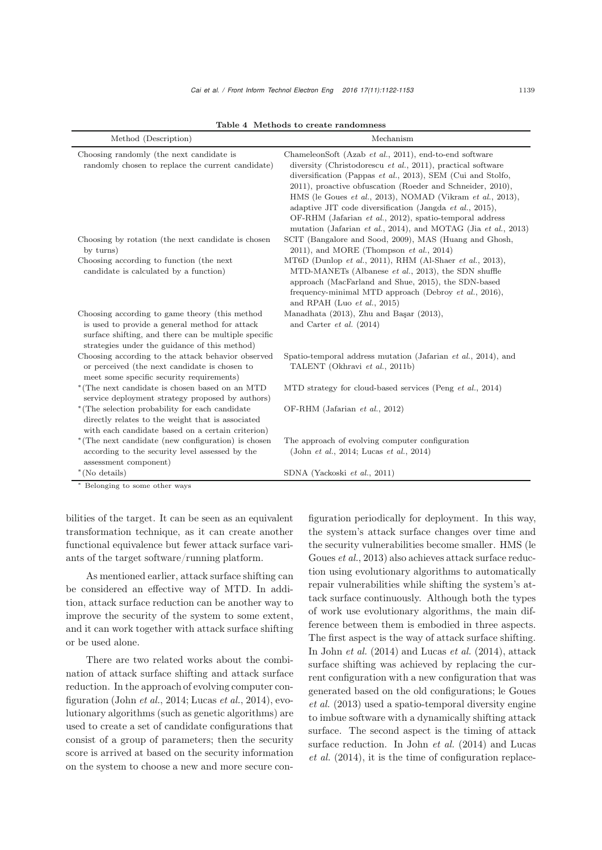| Method (Description)                                                                                                                                                                                      | Mechanism                                                                                                                                                                                                                                                                                                                                                                                                                                                                                                                        |
|-----------------------------------------------------------------------------------------------------------------------------------------------------------------------------------------------------------|----------------------------------------------------------------------------------------------------------------------------------------------------------------------------------------------------------------------------------------------------------------------------------------------------------------------------------------------------------------------------------------------------------------------------------------------------------------------------------------------------------------------------------|
| Choosing randomly (the next candidate is<br>randomly chosen to replace the current candidate)                                                                                                             | ChameleonSoft (Azab et al., 2011), end-to-end software<br>diversity (Christodorescu et al., 2011), practical software<br>diversification (Pappas et al., 2013), SEM (Cui and Stolfo,<br>2011), proactive obfuscation (Roeder and Schneider, 2010),<br>HMS (le Goues et al., 2013), NOMAD (Vikram et al., 2013),<br>adaptive JIT code diversification (Jangda <i>et al.</i> , 2015),<br>OF-RHM (Jafarian et al., 2012), spatio-temporal address<br>mutation (Jafarian <i>et al.</i> , 2014), and MOTAG (Jia <i>et al.</i> , 2013) |
| Choosing by rotation (the next candidate is chosen<br>by turns)                                                                                                                                           | SCIT (Bangalore and Sood, 2009), MAS (Huang and Ghosh,<br>$2011$ ), and MORE (Thompson <i>et al.</i> , $2014$ )                                                                                                                                                                                                                                                                                                                                                                                                                  |
| Choosing according to function (the next<br>candidate is calculated by a function)                                                                                                                        | MT6D (Dunlop et al., 2011), RHM (Al-Shaer et al., 2013),<br>MTD-MANETs (Albanese $et al., 2013$ ), the SDN shuffle<br>approach (MacFarland and Shue, 2015), the SDN-based<br>frequency-minimal MTD approach (Debroy et al., 2016),<br>and RPAH (Luo $et$ al., 2015)                                                                                                                                                                                                                                                              |
| Choosing according to game theory (this method<br>is used to provide a general method for attack<br>surface shifting, and there can be multiple specific<br>strategies under the guidance of this method) | Manadhata (2013), Zhu and Başar (2013),<br>and Carter $et \ al. (2014)$                                                                                                                                                                                                                                                                                                                                                                                                                                                          |
| Choosing according to the attack behavior observed<br>or perceived (the next candidate is chosen to<br>meet some specific security requirements)                                                          | Spatio-temporal address mutation (Jafarian et al., 2014), and<br>TALENT (Okhravi et al., 2011b)                                                                                                                                                                                                                                                                                                                                                                                                                                  |
| *(The next candidate is chosen based on an MTD)<br>service deployment strategy proposed by authors)                                                                                                       | MTD strategy for cloud-based services (Peng $et al., 2014$ )                                                                                                                                                                                                                                                                                                                                                                                                                                                                     |
| *(The selection probability for each candidate)<br>directly relates to the weight that is associated<br>with each candidate based on a certain criterion)                                                 | OF-RHM (Jafarian et al., 2012)                                                                                                                                                                                                                                                                                                                                                                                                                                                                                                   |
| *(The next candidate (new configuration) is chosen                                                                                                                                                        | The approach of evolving computer configuration                                                                                                                                                                                                                                                                                                                                                                                                                                                                                  |
| according to the security level assessed by the<br>assessment component)                                                                                                                                  | (John et al., 2014; Lucas et al., 2014)                                                                                                                                                                                                                                                                                                                                                                                                                                                                                          |
| $*(No details)$                                                                                                                                                                                           | SDNA (Yackoski et al., 2011)                                                                                                                                                                                                                                                                                                                                                                                                                                                                                                     |
| * Belonging to some other ways                                                                                                                                                                            |                                                                                                                                                                                                                                                                                                                                                                                                                                                                                                                                  |

Table 4 Methods to create randomness

bilities of the target. It can be seen as an equivalent transformation technique, as it can create another functional equivalence but fewer attack surface variants of the target software/running platform.

As mentioned earlier, attack surface shifting can be considered an effective way of MTD. In addition, attack surface reduction can be another way to improve the security of the system to some extent, and it can work together with attack surface shifting or be used alone.

There are two related works about the combination of attack surface shifting and attack surface reduction. In the approach of evolving computer configuration (John *et al.*, 2014; Lucas *et al.*, 2014), evolutionary algorithms (such as genetic algorithms) are used to create a set of candidate configurations that consist of a group of parameters; then the security score is arrived at based on the security information on the system to choose a new and more secure configuration periodically for deployment. In this way, the system's attack surface changes over time and the security vulnerabilities become smaller. HMS (le Goues *et al.*, 2013) also achieves attack surface reduction using evolutionary algorithms to automatically repair vulnerabilities while shifting the system's attack surface continuously. Although both the types of work use evolutionary algorithms, the main difference between them is embodied in three aspects. The first aspect is the way of attack surface shifting. In John *et al.* (2014) and Lucas *et al.* (2014), attack surface shifting was achieved by replacing the current configuration with a new configuration that was generated based on the old configurations; le Goues *et al.* (2013) used a spatio-temporal diversity engine to imbue software with a dynamically shifting attack surface. The second aspect is the timing of attack surface reduction. In John *et al.* (2014) and Lucas *et al.* (2014), it is the time of configuration replace-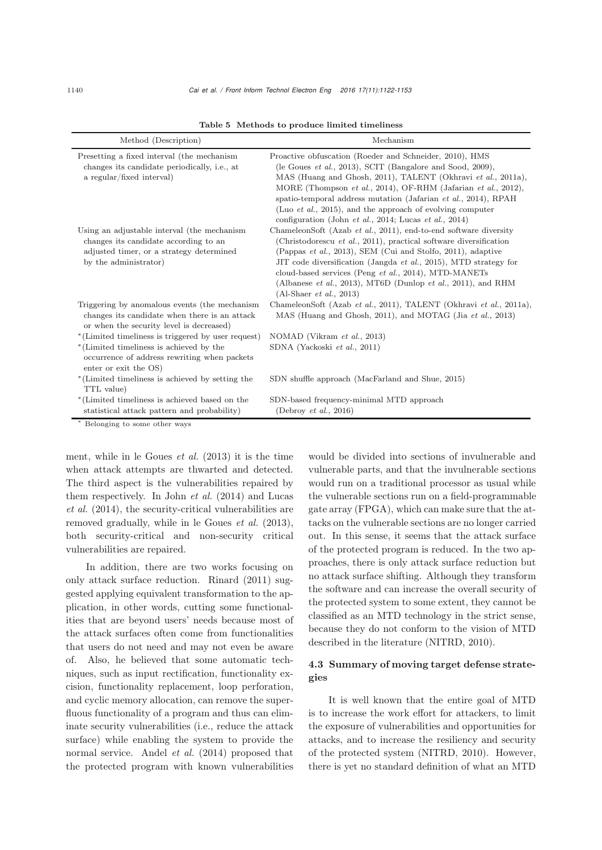| Method (Description)                                                                                                                                      | Mechanism                                                                                                                                                                                                                                                                                                                                                                                                                                                             |
|-----------------------------------------------------------------------------------------------------------------------------------------------------------|-----------------------------------------------------------------------------------------------------------------------------------------------------------------------------------------------------------------------------------------------------------------------------------------------------------------------------------------------------------------------------------------------------------------------------------------------------------------------|
| Presetting a fixed interval (the mechanism<br>changes its candidate periodically, i.e., at<br>a regular/fixed interval)                                   | Proactive obfuscation (Roeder and Schneider, 2010), HMS<br>(le Goues et al., 2013), SCIT (Bangalore and Sood, 2009),<br>MAS (Huang and Ghosh, 2011), TALENT (Okhravi et al., 2011a),<br>MORE (Thompson et al., 2014), OF-RHM (Jafarian et al., 2012),<br>spatio-temporal address mutation (Jafarian et al., 2014), RPAH<br>(Luo <i>et al.</i> , 2015), and the approach of evolving computer<br>configuration (John <i>et al.</i> , 2014; Lucas <i>et al.</i> , 2014) |
| Using an adjustable interval (the mechanism<br>changes its candidate according to an<br>adjusted timer, or a strategy determined<br>by the administrator) | ChameleonSoft (Azab et al., 2011), end-to-end software diversity<br>(Christodorescu et al., 2011), practical software diversification<br>(Pappas et al., 2013), SEM (Cui and Stolfo, 2011), adaptive<br>JIT code diversification (Jangda <i>et al.</i> , 2015), MTD strategy for<br>cloud-based services (Peng et al., 2014), MTD-MANETs<br>(Albanese <i>et al.</i> , 2013), MT6D (Dunlop <i>et al.</i> , 2011), and RHM<br>$(Al-Shaer et al., 2013)$                 |
| Triggering by anomalous events (the mechanism<br>changes its candidate when there is an attack<br>or when the security level is decreased)                | ChameleonSoft (Azab et al., 2011), TALENT (Okhravi et al., 2011a),<br>MAS (Huang and Ghosh, 2011), and MOTAG (Jia et al., 2013)                                                                                                                                                                                                                                                                                                                                       |
| *(Limited timeliness is triggered by user request)                                                                                                        | NOMAD (Vikram et al., 2013)                                                                                                                                                                                                                                                                                                                                                                                                                                           |
| *(Limited timeliness is achieved by the<br>occurrence of address rewriting when packets<br>enter or exit the OS)                                          | SDNA (Yackoski et al., 2011)                                                                                                                                                                                                                                                                                                                                                                                                                                          |
| *(Limited timeliness is achieved by setting the<br>TTL value)                                                                                             | SDN shuffle approach (MacFarland and Shue, 2015)                                                                                                                                                                                                                                                                                                                                                                                                                      |
| *(Limited timeliness is achieved based on the<br>statistical attack pattern and probability)                                                              | SDN-based frequency-minimal MTD approach<br>(Debroy <i>et al.</i> , 2016)                                                                                                                                                                                                                                                                                                                                                                                             |
| * Dalamatan ka sama sekaran meng                                                                                                                          |                                                                                                                                                                                                                                                                                                                                                                                                                                                                       |

Table 5 Methods to produce limited timeliness

Belonging to some other ways

ment, while in le Goues *et al.* (2013) it is the time when attack attempts are thwarted and detected. The third aspect is the vulnerabilities repaired by them respectively. In John *et al.* (2014) and Lucas *et al.* (2014), the security-critical vulnerabilities are removed gradually, while in le Goues *et al.* (2013), both security-critical and non-security critical vulnerabilities are repaired.

In addition, there are two works focusing on only attack surface reduction. Rinard (2011) suggested applying equivalent transformation to the application, in other words, cutting some functionalities that are beyond users' needs because most of the attack surfaces often come from functionalities that users do not need and may not even be aware of. Also, he believed that some automatic techniques, such as input rectification, functionality excision, functionality replacement, loop perforation, and cyclic memory allocation, can remove the superfluous functionality of a program and thus can eliminate security vulnerabilities (i.e., reduce the attack surface) while enabling the system to provide the normal service. Andel *et al.* (2014) proposed that the protected program with known vulnerabilities

would be divided into sections of invulnerable and vulnerable parts, and that the invulnerable sections would run on a traditional processor as usual while the vulnerable sections run on a field-programmable gate array (FPGA), which can make sure that the attacks on the vulnerable sections are no longer carried out. In this sense, it seems that the attack surface of the protected program is reduced. In the two approaches, there is only attack surface reduction but no attack surface shifting. Although they transform the software and can increase the overall security of the protected system to some extent, they cannot be classified as an MTD technology in the strict sense, because they do not conform to the vision of MTD described in the literature (NITRD, 2010).

# 4.3 Summary of moving target defense strategies

It is well known that the entire goal of MTD is to increase the work effort for attackers, to limit the exposure of vulnerabilities and opportunities for attacks, and to increase the resiliency and security of the protected system (NITRD, 2010). However, there is yet no standard definition of what an MTD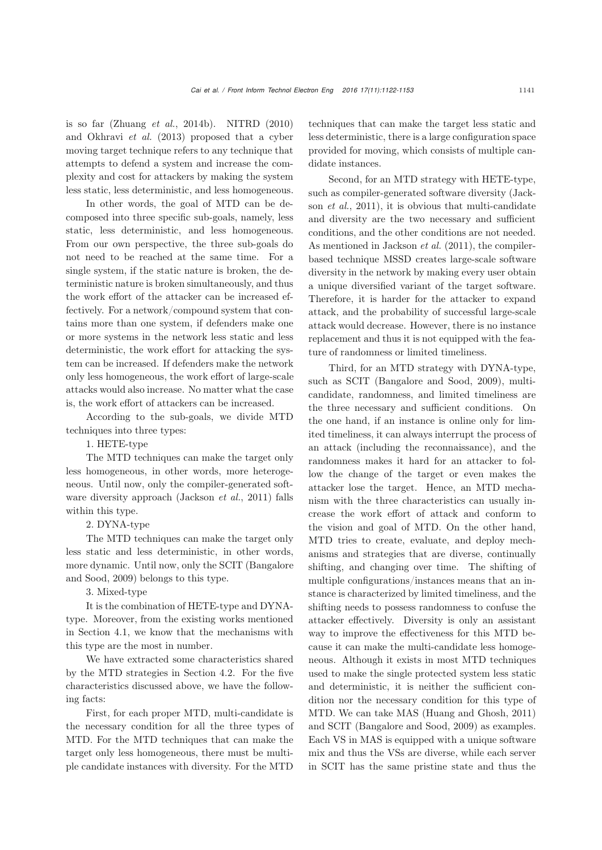is so far (Zhuang *et al.*, 2014b). NITRD (2010) and Okhravi *et al.* (2013) proposed that a cyber moving target technique refers to any technique that attempts to defend a system and increase the complexity and cost for attackers by making the system less static, less deterministic, and less homogeneous.

In other words, the goal of MTD can be decomposed into three specific sub-goals, namely, less static, less deterministic, and less homogeneous. From our own perspective, the three sub-goals do not need to be reached at the same time. For a single system, if the static nature is broken, the deterministic nature is broken simultaneously, and thus the work effort of the attacker can be increased effectively. For a network/compound system that contains more than one system, if defenders make one or more systems in the network less static and less deterministic, the work effort for attacking the system can be increased. If defenders make the network only less homogeneous, the work effort of large-scale attacks would also increase. No matter what the case is, the work effort of attackers can be increased.

According to the sub-goals, we divide MTD techniques into three types:

1. HETE-type

The MTD techniques can make the target only less homogeneous, in other words, more heterogeneous. Until now, only the compiler-generated software diversity approach (Jackson *et al.*, 2011) falls within this type.

## 2. DYNA-type

The MTD techniques can make the target only less static and less deterministic, in other words, more dynamic. Until now, only the SCIT (Bangalore and Sood, 2009) belongs to this type.

#### 3. Mixed-type

It is the combination of HETE-type and DYNAtype. Moreover, from the existing works mentioned in Section 4.1, we know that the mechanisms with this type are the most in number.

We have extracted some characteristics shared by the MTD strategies in Section 4.2. For the five characteristics discussed above, we have the following facts:

First, for each proper MTD, multi-candidate is the necessary condition for all the three types of MTD. For the MTD techniques that can make the target only less homogeneous, there must be multiple candidate instances with diversity. For the MTD

techniques that can make the target less static and less deterministic, there is a large configuration space provided for moving, which consists of multiple candidate instances.

Second, for an MTD strategy with HETE-type, such as compiler-generated software diversity (Jackson *et al.*, 2011), it is obvious that multi-candidate and diversity are the two necessary and sufficient conditions, and the other conditions are not needed. As mentioned in Jackson *et al.* (2011), the compilerbased technique MSSD creates large-scale software diversity in the network by making every user obtain a unique diversified variant of the target software. Therefore, it is harder for the attacker to expand attack, and the probability of successful large-scale attack would decrease. However, there is no instance replacement and thus it is not equipped with the feature of randomness or limited timeliness.

Third, for an MTD strategy with DYNA-type, such as SCIT (Bangalore and Sood, 2009), multicandidate, randomness, and limited timeliness are the three necessary and sufficient conditions. On the one hand, if an instance is online only for limited timeliness, it can always interrupt the process of an attack (including the reconnaissance), and the randomness makes it hard for an attacker to follow the change of the target or even makes the attacker lose the target. Hence, an MTD mechanism with the three characteristics can usually increase the work effort of attack and conform to the vision and goal of MTD. On the other hand, MTD tries to create, evaluate, and deploy mechanisms and strategies that are diverse, continually shifting, and changing over time. The shifting of multiple configurations/instances means that an instance is characterized by limited timeliness, and the shifting needs to possess randomness to confuse the attacker effectively. Diversity is only an assistant way to improve the effectiveness for this MTD because it can make the multi-candidate less homogeneous. Although it exists in most MTD techniques used to make the single protected system less static and deterministic, it is neither the sufficient condition nor the necessary condition for this type of MTD. We can take MAS (Huang and Ghosh, 2011) and SCIT (Bangalore and Sood, 2009) as examples. Each VS in MAS is equipped with a unique software mix and thus the VSs are diverse, while each server in SCIT has the same pristine state and thus the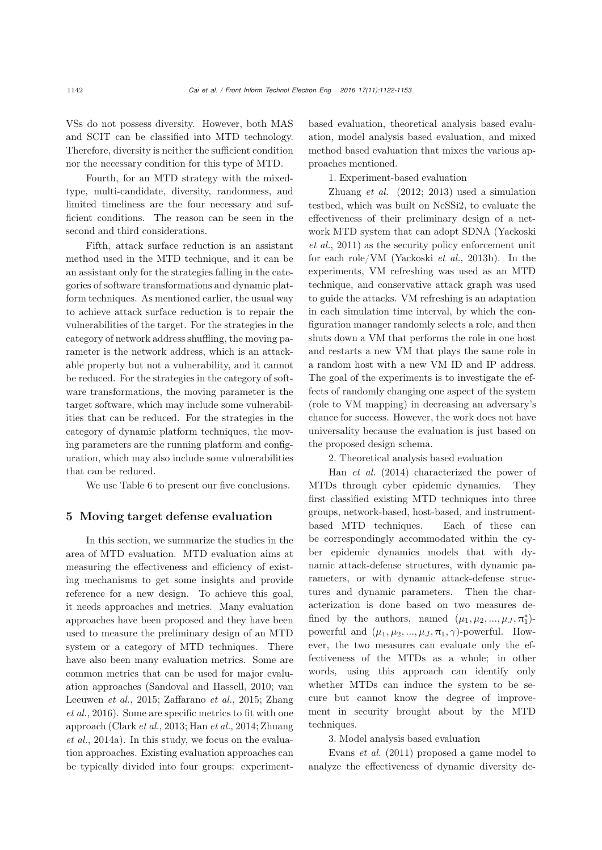VSs do not possess diversity. However, both MAS and SCIT can be classified into MTD technology. Therefore, diversity is neither the sufficient condition nor the necessary condition for this type of MTD.

Fourth, for an MTD strategy with the mixedtype, multi-candidate, diversity, randomness, and limited timeliness are the four necessary and sufficient conditions. The reason can be seen in the second and third considerations.

Fifth, attack surface reduction is an assistant method used in the MTD technique, and it can be an assistant only for the strategies falling in the categories of software transformations and dynamic platform techniques. As mentioned earlier, the usual way to achieve attack surface reduction is to repair the vulnerabilities of the target. For the strategies in the category of network address shuffling, the moving parameter is the network address, which is an attackable property but not a vulnerability, and it cannot be reduced. For the strategies in the category of software transformations, the moving parameter is the target software, which may include some vulnerabilities that can be reduced. For the strategies in the category of dynamic platform techniques, the moving parameters are the running platform and configuration, which may also include some vulnerabilities that can be reduced.

We use Table 6 to present our five conclusions.

# 5 Moving target defense evaluation

In this section, we summarize the studies in the area of MTD evaluation. MTD evaluation aims at measuring the effectiveness and efficiency of existing mechanisms to get some insights and provide reference for a new design. To achieve this goal, it needs approaches and metrics. Many evaluation approaches have been proposed and they have been used to measure the preliminary design of an MTD system or a category of MTD techniques. There have also been many evaluation metrics. Some are common metrics that can be used for major evaluation approaches (Sandoval and Hassell, 2010; van Leeuwen *et al.*, 2015; Zaffarano *et al.*, 2015; Zhang *et al.*, 2016). Some are specific metrics to fit with one approach (Clark *et al.*, 2013; Han *et al.*, 2014; Zhuang *et al.*, 2014a). In this study, we focus on the evaluation approaches. Existing evaluation approaches can be typically divided into four groups: experimentbased evaluation, theoretical analysis based evaluation, model analysis based evaluation, and mixed method based evaluation that mixes the various approaches mentioned.

1. Experiment-based evaluation

Zhuang *et al.* (2012; 2013) used a simulation testbed, which was built on NeSSi2, to evaluate the effectiveness of their preliminary design of a network MTD system that can adopt SDNA (Yackoski *et al.*, 2011) as the security policy enforcement unit for each role/VM (Yackoski *et al.*, 2013b). In the experiments, VM refreshing was used as an MTD technique, and conservative attack graph was used to guide the attacks. VM refreshing is an adaptation in each simulation time interval, by which the configuration manager randomly selects a role, and then shuts down a VM that performs the role in one host and restarts a new VM that plays the same role in a random host with a new VM ID and IP address. The goal of the experiments is to investigate the effects of randomly changing one aspect of the system (role to VM mapping) in decreasing an adversary's chance for success. However, the work does not have universality because the evaluation is just based on the proposed design schema.

2. Theoretical analysis based evaluation

Han *et al.* (2014) characterized the power of MTDs through cyber epidemic dynamics. They first classified existing MTD techniques into three groups, network-based, host-based, and instrumentbased MTD techniques. Each of these can be correspondingly accommodated within the cyber epidemic dynamics models that with dynamic attack-defense structures, with dynamic parameters, or with dynamic attack-defense structures and dynamic parameters. Then the characterization is done based on two measures defined by the authors, named  $(\mu_1, \mu_2, ..., \mu_J, \pi_1^*)$ powerful and  $(\mu_1, \mu_2, ..., \mu_J, \pi_1, \gamma)$ -powerful. However, the two measures can evaluate only the effectiveness of the MTDs as a whole; in other words, using this approach can identify only whether MTDs can induce the system to be secure but cannot know the degree of improvement in security brought about by the MTD techniques.

## 3. Model analysis based evaluation

Evans *et al.* (2011) proposed a game model to analyze the effectiveness of dynamic diversity de-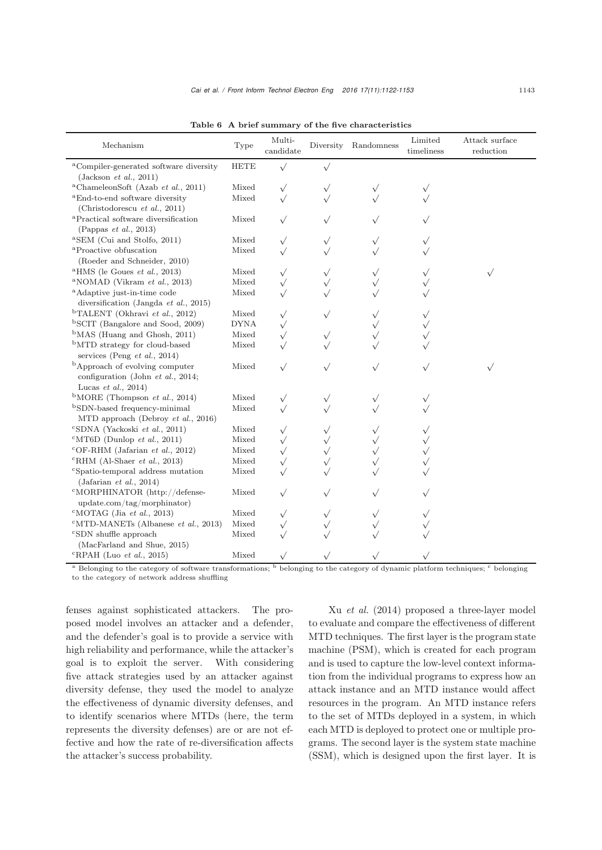| Mechanism                                                                              | Type                          | Multi-<br>candidate | Diversity | Randomness | Limited<br>timeliness | Attack surface<br>reduction |
|----------------------------------------------------------------------------------------|-------------------------------|---------------------|-----------|------------|-----------------------|-----------------------------|
| <sup>a</sup> Compiler-generated software diversity<br>$(Jackson$ <i>et al.</i> , 2011) | <b>HETE</b>                   | $\sqrt{}$           | $\sqrt{}$ |            |                       |                             |
| <sup>a</sup> ChameleonSoft (Azab <i>et al.</i> , 2011)                                 | Mixed                         | $\sqrt{}$           | $\sqrt{}$ | $\sqrt{}$  | $\sqrt{}$             |                             |
| <sup>a</sup> End-to-end software diversity                                             | Mixed                         |                     |           |            |                       |                             |
| (Christodorescu et al., 2011)                                                          |                               |                     |           |            |                       |                             |
| <sup>a</sup> Practical software diversification                                        | Mixed                         | $\sqrt{}$           | $\sqrt{}$ |            |                       |                             |
| (Pappas <i>et al.</i> , 2013)                                                          |                               |                     |           |            |                       |                             |
| <sup>a</sup> SEM (Cui and Stolfo, 2011)                                                | Mixed                         | $\sqrt{}$           | $\sqrt{}$ |            |                       |                             |
| <sup>a</sup> Proactive obfuscation                                                     | Mixed                         |                     |           |            |                       |                             |
| (Roeder and Schneider, 2010)                                                           |                               |                     |           |            |                       |                             |
| <sup>a</sup> HMS (le Goues <i>et al.</i> , 2013)                                       | Mixed                         | $\sqrt{}$           | $\sqrt{}$ |            | $\sqrt{}$             | $\sqrt{}$                   |
| $^{\rm a}$ NOMAD (Vikram et al., 2013)                                                 | Mixed                         |                     | $\sqrt{}$ |            | $\sqrt{}$             |                             |
| <sup>a</sup> Adaptive just-in-time code                                                | Mixed                         | $\sqrt{}$           | $\sqrt{}$ |            | $\checkmark$          |                             |
| diversification (Jangda et al., 2015)                                                  |                               |                     |           |            |                       |                             |
| <sup>b</sup> TALENT (Okhravi <i>et al.</i> , 2012)                                     | Mixed                         | $\sqrt{}$           | $\sqrt{}$ | $\sqrt{}$  | $\checkmark$          |                             |
| <sup>b</sup> SCIT (Bangalore and Sood, 2009)                                           | $\mathop{\rm DYM}\nolimits$ A | $\sqrt{}$           |           |            | $\sqrt{}$             |                             |
| $b$ MAS (Huang and Ghosh, 2011)                                                        | Mixed                         | $\sqrt{}$           | $\sqrt{}$ |            | $\checkmark$          |                             |
| <sup>b</sup> MTD strategy for cloud-based                                              | Mixed                         | $\sqrt{}$           | $\sqrt{}$ |            |                       |                             |
| services (Peng $et al., 2014$ )                                                        |                               |                     |           |            |                       |                             |
| <sup>b</sup> Approach of evolving computer                                             | Mixed                         | $\sqrt{}$           | $\sqrt{}$ | $\sqrt{}$  | $\sqrt{}$             |                             |
| configuration (John et al., 2014;                                                      |                               |                     |           |            |                       |                             |
| Lucas <i>et al.</i> , 2014)                                                            |                               |                     |           |            |                       |                             |
| $b$ MORE (Thompson <i>et al.</i> , 2014)                                               | Mixed                         | $\sqrt{}$           | $\sqrt{}$ | $\sqrt{}$  | $\sqrt{}$             |                             |
| <sup>b</sup> SDN-based frequency-minimal                                               | Mixed                         | $\sqrt{}$           |           |            |                       |                             |
| MTD approach (Debroy et al., 2016)                                                     |                               |                     |           |            |                       |                             |
| $cSDNA$ (Yackoski <i>et al.</i> , 2011)                                                | Mixed                         | $\sqrt{}$           | $\sqrt{}$ |            |                       |                             |
| $c^{\text{MT6D}}$ (Dunlop et al., 2011)                                                | Mixed                         | $\sqrt{}$           | $\sqrt{}$ |            |                       |                             |
| $^{\rm c}$ OF-RHM (Jafarian et al., 2012)                                              | Mixed                         | $\sqrt{}$           | $\sqrt{}$ |            |                       |                             |
| ${}^c$ RHM (Al-Shaer <i>et al.</i> , 2013)                                             | Mixed                         | $\sqrt{}$           |           |            |                       |                             |
| $\mathrm{^cS}$ patio-temporal address mutation                                         | Mixed                         | $\sqrt{}$           |           |            |                       |                             |
| (Jafarian et al., 2014)                                                                |                               |                     |           |            |                       |                             |
| <sup>c</sup> MORPHINATOR (http://defense-                                              | Mixed                         | $\sqrt{}$           | $\sqrt{}$ | $\sqrt{}$  | $\sqrt{}$             |                             |
| update.com/tag/morphism                                                                |                               |                     |           |            |                       |                             |
| ${}^{\rm c}$ MOTAG (Jia et al., 2013)                                                  | Mixed                         | $\sqrt{}$           | $\sqrt{}$ | $\sqrt{}$  | $\sqrt{}$             |                             |
| <sup>c</sup> MTD-MANETs (Albanese <i>et al.</i> , 2013)                                | Mixed                         | $\sqrt{}$           | $\sqrt{}$ |            | $\sqrt{}$             |                             |
| <sup>c</sup> SDN shuffle approach                                                      | Mixed                         | $\sqrt{}$           | $\sqrt{}$ |            | $\checkmark$          |                             |
| (MacFarland and Shue, 2015)                                                            |                               |                     |           |            |                       |                             |
| ${}^c$ RPAH (Luo <i>et al.</i> , 2015)                                                 | Mixed                         | $\sqrt{}$           | $\sqrt{}$ |            |                       |                             |

Table 6 A brief summary of the five characteristics

<sup>a</sup> Belonging to the category of software transformations; <sup>b</sup> belonging to the category of dynamic platform techniques; <sup>c</sup> belonging to the category of network address shuffling

fenses against sophisticated attackers. The proposed model involves an attacker and a defender, and the defender's goal is to provide a service with high reliability and performance, while the attacker's goal is to exploit the server. With considering five attack strategies used by an attacker against diversity defense, they used the model to analyze the effectiveness of dynamic diversity defenses, and to identify scenarios where MTDs (here, the term represents the diversity defenses) are or are not effective and how the rate of re-diversification affects the attacker's success probability.

Xu *et al.* (2014) proposed a three-layer model to evaluate and compare the effectiveness of different MTD techniques. The first layer is the program state machine (PSM), which is created for each program and is used to capture the low-level context information from the individual programs to express how an attack instance and an MTD instance would affect resources in the program. An MTD instance refers to the set of MTDs deployed in a system, in which each MTD is deployed to protect one or multiple programs. The second layer is the system state machine (SSM), which is designed upon the first layer. It is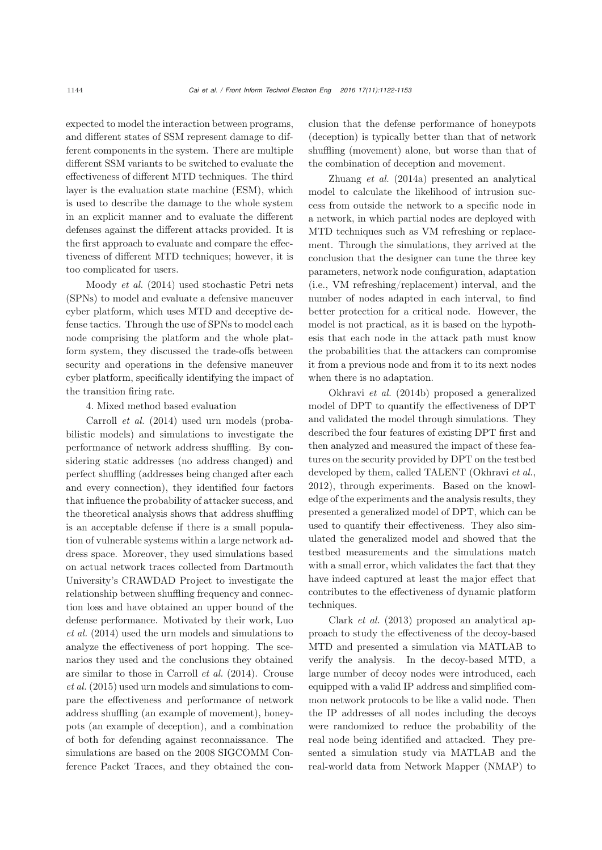expected to model the interaction between programs, and different states of SSM represent damage to different components in the system. There are multiple different SSM variants to be switched to evaluate the effectiveness of different MTD techniques. The third layer is the evaluation state machine (ESM), which is used to describe the damage to the whole system in an explicit manner and to evaluate the different defenses against the different attacks provided. It is the first approach to evaluate and compare the effectiveness of different MTD techniques; however, it is too complicated for users.

Moody *et al.* (2014) used stochastic Petri nets (SPNs) to model and evaluate a defensive maneuver cyber platform, which uses MTD and deceptive defense tactics. Through the use of SPNs to model each node comprising the platform and the whole platform system, they discussed the trade-offs between security and operations in the defensive maneuver cyber platform, specifically identifying the impact of the transition firing rate.

#### 4. Mixed method based evaluation

Carroll *et al.* (2014) used urn models (probabilistic models) and simulations to investigate the performance of network address shuffling. By considering static addresses (no address changed) and perfect shuffling (addresses being changed after each and every connection), they identified four factors that influence the probability of attacker success, and the theoretical analysis shows that address shuffling is an acceptable defense if there is a small population of vulnerable systems within a large network address space. Moreover, they used simulations based on actual network traces collected from Dartmouth University's CRAWDAD Project to investigate the relationship between shuffling frequency and connection loss and have obtained an upper bound of the defense performance. Motivated by their work, Luo *et al.* (2014) used the urn models and simulations to analyze the effectiveness of port hopping. The scenarios they used and the conclusions they obtained are similar to those in Carroll *et al.* (2014). Crouse *et al.* (2015) used urn models and simulations to compare the effectiveness and performance of network address shuffling (an example of movement), honeypots (an example of deception), and a combination of both for defending against reconnaissance. The simulations are based on the 2008 SIGCOMM Conference Packet Traces, and they obtained the conclusion that the defense performance of honeypots (deception) is typically better than that of network shuffling (movement) alone, but worse than that of the combination of deception and movement.

Zhuang *et al.* (2014a) presented an analytical model to calculate the likelihood of intrusion success from outside the network to a specific node in a network, in which partial nodes are deployed with MTD techniques such as VM refreshing or replacement. Through the simulations, they arrived at the conclusion that the designer can tune the three key parameters, network node configuration, adaptation (i.e., VM refreshing/replacement) interval, and the number of nodes adapted in each interval, to find better protection for a critical node. However, the model is not practical, as it is based on the hypothesis that each node in the attack path must know the probabilities that the attackers can compromise it from a previous node and from it to its next nodes when there is no adaptation.

Okhravi *et al.* (2014b) proposed a generalized model of DPT to quantify the effectiveness of DPT and validated the model through simulations. They described the four features of existing DPT first and then analyzed and measured the impact of these features on the security provided by DPT on the testbed developed by them, called TALENT (Okhravi *et al.*, 2012), through experiments. Based on the knowledge of the experiments and the analysis results, they presented a generalized model of DPT, which can be used to quantify their effectiveness. They also simulated the generalized model and showed that the testbed measurements and the simulations match with a small error, which validates the fact that they have indeed captured at least the major effect that contributes to the effectiveness of dynamic platform techniques.

Clark *et al.* (2013) proposed an analytical approach to study the effectiveness of the decoy-based MTD and presented a simulation via MATLAB to verify the analysis. In the decoy-based MTD, a large number of decoy nodes were introduced, each equipped with a valid IP address and simplified common network protocols to be like a valid node. Then the IP addresses of all nodes including the decoys were randomized to reduce the probability of the real node being identified and attacked. They presented a simulation study via MATLAB and the real-world data from Network Mapper (NMAP) to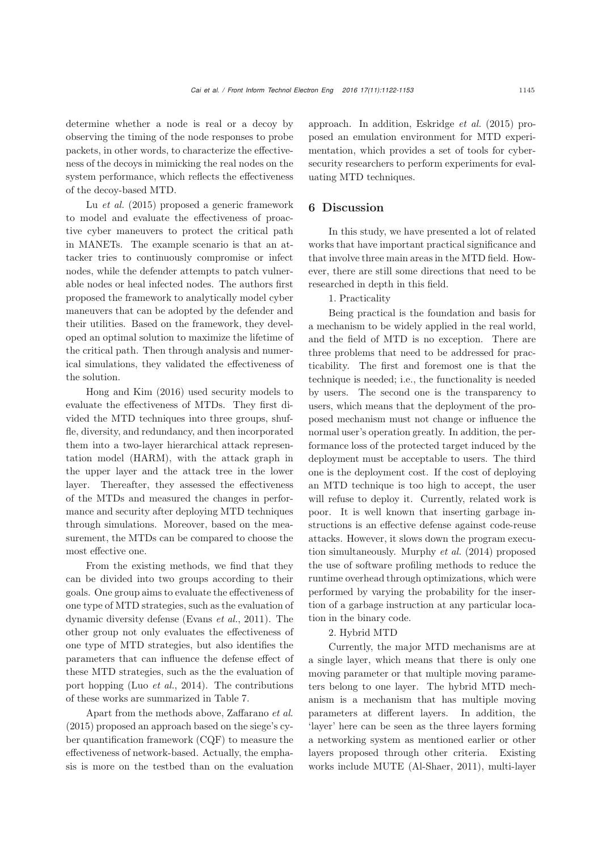determine whether a node is real or a decoy by observing the timing of the node responses to probe packets, in other words, to characterize the effectiveness of the decoys in mimicking the real nodes on the system performance, which reflects the effectiveness of the decoy-based MTD.

Lu *et al.* (2015) proposed a generic framework to model and evaluate the effectiveness of proactive cyber maneuvers to protect the critical path in MANETs. The example scenario is that an attacker tries to continuously compromise or infect nodes, while the defender attempts to patch vulnerable nodes or heal infected nodes. The authors first proposed the framework to analytically model cyber maneuvers that can be adopted by the defender and their utilities. Based on the framework, they developed an optimal solution to maximize the lifetime of the critical path. Then through analysis and numerical simulations, they validated the effectiveness of the solution.

Hong and Kim (2016) used security models to evaluate the effectiveness of MTDs. They first divided the MTD techniques into three groups, shuffle, diversity, and redundancy, and then incorporated them into a two-layer hierarchical attack representation model (HARM), with the attack graph in the upper layer and the attack tree in the lower layer. Thereafter, they assessed the effectiveness of the MTDs and measured the changes in performance and security after deploying MTD techniques through simulations. Moreover, based on the measurement, the MTDs can be compared to choose the most effective one.

From the existing methods, we find that they can be divided into two groups according to their goals. One group aims to evaluate the effectiveness of one type of MTD strategies, such as the evaluation of dynamic diversity defense (Evans *et al.*, 2011). The other group not only evaluates the effectiveness of one type of MTD strategies, but also identifies the parameters that can influence the defense effect of these MTD strategies, such as the the evaluation of port hopping (Luo *et al.*, 2014). The contributions of these works are summarized in Table 7.

Apart from the methods above, Zaffarano *et al.* (2015) proposed an approach based on the siege's cyber quantification framework (CQF) to measure the effectiveness of network-based. Actually, the emphasis is more on the testbed than on the evaluation

approach. In addition, Eskridge *et al.* (2015) proposed an emulation environment for MTD experimentation, which provides a set of tools for cybersecurity researchers to perform experiments for evaluating MTD techniques.

# 6 Discussion

In this study, we have presented a lot of related works that have important practical significance and that involve three main areas in the MTD field. However, there are still some directions that need to be researched in depth in this field.

# 1. Practicality

Being practical is the foundation and basis for a mechanism to be widely applied in the real world, and the field of MTD is no exception. There are three problems that need to be addressed for practicability. The first and foremost one is that the technique is needed; i.e., the functionality is needed by users. The second one is the transparency to users, which means that the deployment of the proposed mechanism must not change or influence the normal user's operation greatly. In addition, the performance loss of the protected target induced by the deployment must be acceptable to users. The third one is the deployment cost. If the cost of deploying an MTD technique is too high to accept, the user will refuse to deploy it. Currently, related work is poor. It is well known that inserting garbage instructions is an effective defense against code-reuse attacks. However, it slows down the program execution simultaneously. Murphy *et al.* (2014) proposed the use of software profiling methods to reduce the runtime overhead through optimizations, which were performed by varying the probability for the insertion of a garbage instruction at any particular location in the binary code.

#### 2. Hybrid MTD

Currently, the major MTD mechanisms are at a single layer, which means that there is only one moving parameter or that multiple moving parameters belong to one layer. The hybrid MTD mechanism is a mechanism that has multiple moving parameters at different layers. In addition, the 'layer' here can be seen as the three layers forming a networking system as mentioned earlier or other layers proposed through other criteria. Existing works include MUTE (Al-Shaer, 2011), multi-layer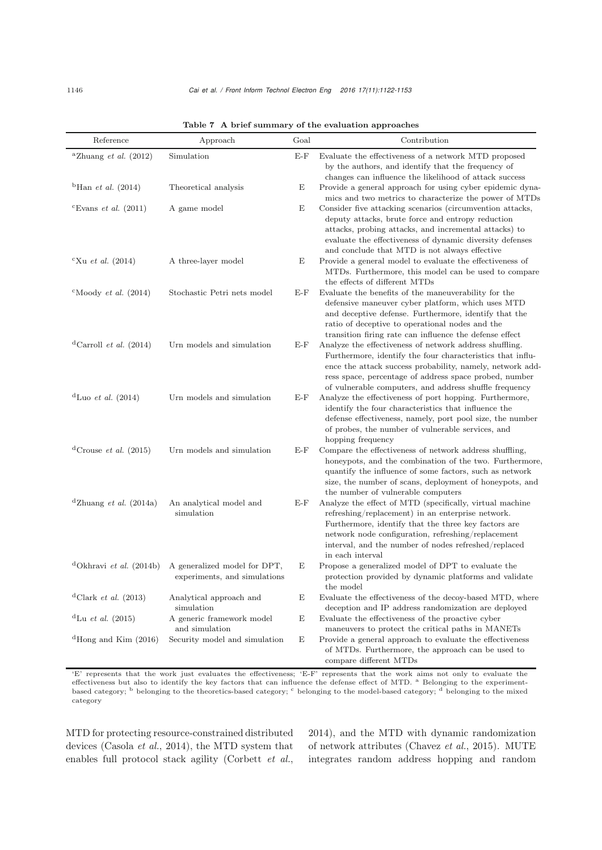| Reference                                 | Approach                                                     | Goal  | Contribution                                                                                                                                                                                                                                                                                            |
|-------------------------------------------|--------------------------------------------------------------|-------|---------------------------------------------------------------------------------------------------------------------------------------------------------------------------------------------------------------------------------------------------------------------------------------------------------|
| <sup>a</sup> Zhuang <i>et al.</i> (2012)  | Simulation                                                   | $E-F$ | Evaluate the effectiveness of a network MTD proposed<br>by the authors, and identify that the frequency of<br>changes can influence the likelihood of attack success                                                                                                                                    |
| $^{\rm b}$ Han <i>et al.</i> (2014)       | Theoretical analysis                                         | Ε     | Provide a general approach for using cyber epidemic dyna-<br>mics and two metrics to characterize the power of MTDs                                                                                                                                                                                     |
| $c$ Evans <i>et al.</i> (2011)            | A game model                                                 | E     | Consider five attacking scenarios (circumvention attacks,<br>deputy attacks, brute force and entropy reduction<br>attacks, probing attacks, and incremental attacks) to<br>evaluate the effectiveness of dynamic diversity defenses<br>and conclude that MTD is not always effective                    |
| ${}^{\rm c}$ Xu <i>et al.</i> (2014)      | A three-layer model                                          | Ε     | Provide a general model to evaluate the effectiveness of<br>MTDs. Furthermore, this model can be used to compare<br>the effects of different MTDs                                                                                                                                                       |
| <sup>c</sup> Moody <i>et al.</i> $(2014)$ | Stochastic Petri nets model                                  | $E-F$ | Evaluate the benefits of the maneuverability for the<br>defensive maneuver cyber platform, which uses MTD<br>and deceptive defense. Furthermore, identify that the<br>ratio of deceptive to operational nodes and the<br>transition firing rate can influence the defense effect                        |
| <sup>d</sup> Carroll <i>et al.</i> (2014) | Urn models and simulation                                    | $E-F$ | Analyze the effectiveness of network address shuffling.<br>Furthermore, identify the four characteristics that influ-<br>ence the attack success probability, namely, network add-<br>ress space, percentage of address space probed, number<br>of vulnerable computers, and address shuffle frequency  |
| <sup>d</sup> Luo <i>et al.</i> (2014)     | Urn models and simulation                                    | $E-F$ | Analyze the effectiveness of port hopping. Furthermore,<br>identify the four characteristics that influence the<br>defense effectiveness, namely, port pool size, the number<br>of probes, the number of vulnerable services, and<br>hopping frequency                                                  |
| <sup>d</sup> Crouse <i>et al.</i> (2015)  | Urn models and simulation                                    | $E-F$ | Compare the effectiveness of network address shuffling,<br>honeypots, and the combination of the two. Furthermore,<br>quantify the influence of some factors, such as network<br>size, the number of scans, deployment of honeypots, and<br>the number of vulnerable computers                          |
| <sup>d</sup> Zhuang <i>et al.</i> (2014a) | An analytical model and<br>simulation                        | $E-F$ | Analyze the effect of MTD (specifically, virtual machine<br>refreshing/replacement) in an enterprise network.<br>Furthermore, identify that the three key factors are<br>network node configuration, refreshing/replacement<br>interval, and the number of nodes refreshed/replaced<br>in each interval |
| <sup>d</sup> Okhravi et al. (2014b)       | A generalized model for DPT,<br>experiments, and simulations | E     | Propose a generalized model of DPT to evaluate the<br>protection provided by dynamic platforms and validate<br>the model                                                                                                                                                                                |
| $d$ Clark <i>et al.</i> (2013)            | Analytical approach and<br>simulation                        | E     | Evaluate the effectiveness of the decoy-based MTD, where<br>deception and IP address randomization are deployed                                                                                                                                                                                         |
| $d$ Lu <i>et al.</i> (2015)               | A generic framework model<br>and simulation                  | E     | Evaluate the effectiveness of the proactive cyber<br>maneuvers to protect the critical paths in MANETs                                                                                                                                                                                                  |
| $\rm^d$ Hong and Kim (2016)               | Security model and simulation                                | E     | Provide a general approach to evaluate the effectiveness<br>of MTDs. Furthermore, the approach can be used to<br>compare different MTDs                                                                                                                                                                 |

Table 7 A brief summary of the evaluation approaches

'E' represents that the work just evaluates the effectiveness; 'E-F' represents that the work aims not only to evaluate the effectiveness but also to identify the key factors that can influence the defense effect of MTD. <sup>a</sup> Belonging to the experimentbased category; <sup>b</sup> belonging to the theoretics-based category; <sup>c</sup> belonging to the model-based category; <sup>d</sup> belonging to the mixed category

MTD for protecting resource-constrained distributed devices (Casola *et al.*, 2014), the MTD system that enables full protocol stack agility (Corbett *et al.*, 2014), and the MTD with dynamic randomization of network attributes (Chavez *et al.*, 2015). MUTE integrates random address hopping and random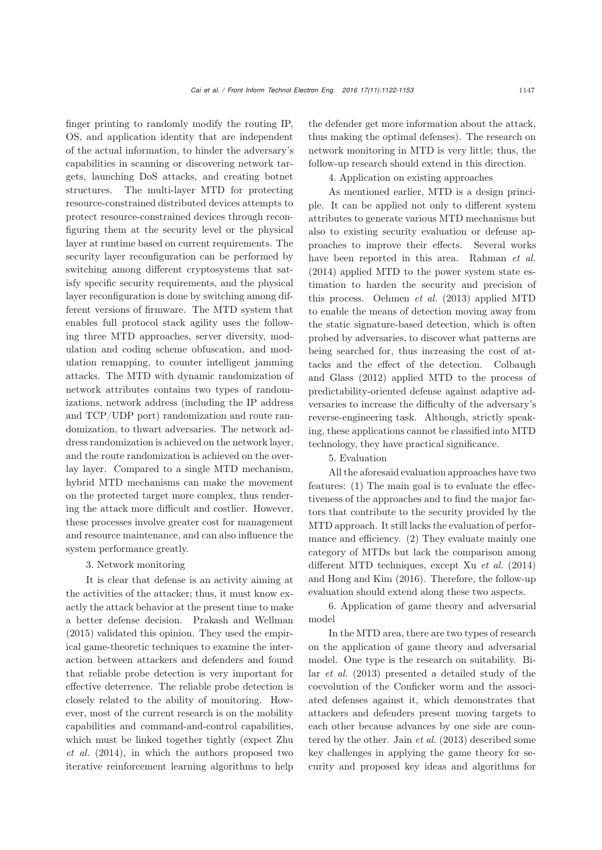finger printing to randomly modify the routing IP, OS, and application identity that are independent of the actual information, to hinder the adversary's capabilities in scanning or discovering network targets, launching DoS attacks, and creating botnet structures. The multi-layer MTD for protecting resource-constrained distributed devices attempts to protect resource-constrained devices through reconfiguring them at the security level or the physical layer at runtime based on current requirements. The security layer reconfiguration can be performed by switching among different cryptosystems that satisfy specific security requirements, and the physical layer reconfiguration is done by switching among different versions of firmware. The MTD system that enables full protocol stack agility uses the following three MTD approaches, server diversity, modulation and coding scheme obfuscation, and modulation remapping, to counter intelligent jamming attacks. The MTD with dynamic randomization of network attributes contains two types of randomizations, network address (including the IP address and TCP/UDP port) randomization and route randomization, to thwart adversaries. The network address randomization is achieved on the network layer, and the route randomization is achieved on the overlay layer. Compared to a single MTD mechanism, hybrid MTD mechanisms can make the movement on the protected target more complex, thus rendering the attack more difficult and costlier. However, these processes involve greater cost for management and resource maintenance, and can also influence the system performance greatly.

# 3. Network monitoring

It is clear that defense is an activity aiming at the activities of the attacker; thus, it must know exactly the attack behavior at the present time to make a better defense decision. Prakash and Wellman (2015) validated this opinion. They used the empirical game-theoretic techniques to examine the interaction between attackers and defenders and found that reliable probe detection is very important for effective deterrence. The reliable probe detection is closely related to the ability of monitoring. However, most of the current research is on the mobility capabilities and command-and-control capabilities, which must be linked together tightly (expect Zhu *et al.* (2014), in which the authors proposed two iterative reinforcement learning algorithms to help

the defender get more information about the attack, thus making the optimal defenses). The research on network monitoring in MTD is very little; thus, the follow-up research should extend in this direction.

4. Application on existing approaches

As mentioned earlier, MTD is a design principle. It can be applied not only to different system attributes to generate various MTD mechanisms but also to existing security evaluation or defense approaches to improve their effects. Several works have been reported in this area. Rahman *et al.* (2014) applied MTD to the power system state estimation to harden the security and precision of this process. Oehmen *et al.* (2013) applied MTD to enable the means of detection moving away from the static signature-based detection, which is often probed by adversaries, to discover what patterns are being searched for, thus increasing the cost of attacks and the effect of the detection. Colbaugh and Glass (2012) applied MTD to the process of predictability-oriented defense against adaptive adversaries to increase the difficulty of the adversary's reverse-engineering task. Although, strictly speaking, these applications cannot be classified into MTD technology, they have practical significance.

## 5. Evaluation

All the aforesaid evaluation approaches have two features: (1) The main goal is to evaluate the effectiveness of the approaches and to find the major factors that contribute to the security provided by the MTD approach. It still lacks the evaluation of performance and efficiency. (2) They evaluate mainly one category of MTDs but lack the comparison among different MTD techniques, except Xu *et al.* (2014) and Hong and Kim (2016). Therefore, the follow-up evaluation should extend along these two aspects.

6. Application of game theory and adversarial model

In the MTD area, there are two types of research on the application of game theory and adversarial model. One type is the research on suitability. Bilar *et al.* (2013) presented a detailed study of the coevolution of the Conficker worm and the associated defenses against it, which demonstrates that attackers and defenders present moving targets to each other because advances by one side are countered by the other. Jain *et al.* (2013) described some key challenges in applying the game theory for security and proposed key ideas and algorithms for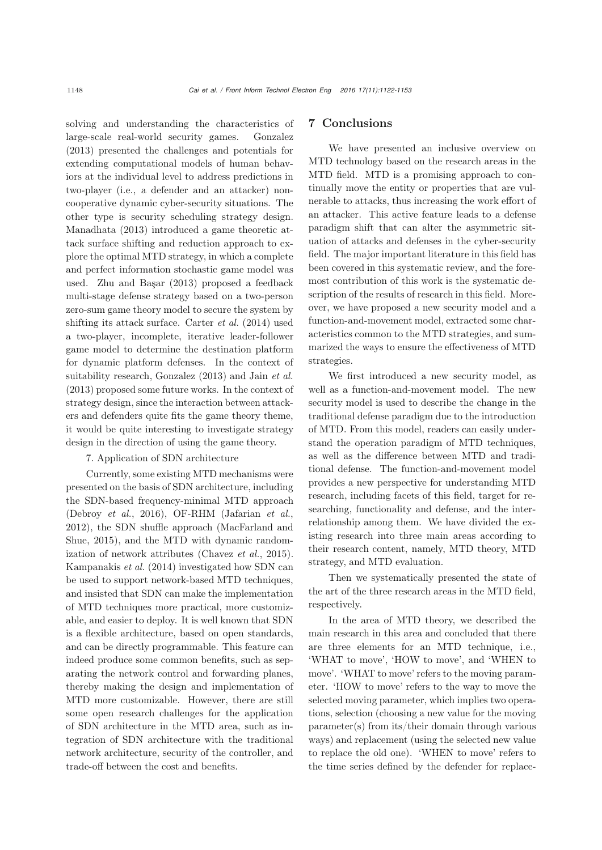solving and understanding the characteristics of large-scale real-world security games. Gonzalez (2013) presented the challenges and potentials for extending computational models of human behaviors at the individual level to address predictions in two-player (i.e., a defender and an attacker) noncooperative dynamic cyber-security situations. The other type is security scheduling strategy design. Manadhata (2013) introduced a game theoretic attack surface shifting and reduction approach to explore the optimal MTD strategy, in which a complete and perfect information stochastic game model was used. Zhu and Başar (2013) proposed a feedback multi-stage defense strategy based on a two-person zero-sum game theory model to secure the system by shifting its attack surface. Carter *et al.* (2014) used a two-player, incomplete, iterative leader-follower game model to determine the destination platform for dynamic platform defenses. In the context of suitability research, Gonzalez (2013) and Jain *et al.* (2013) proposed some future works. In the context of strategy design, since the interaction between attackers and defenders quite fits the game theory theme, it would be quite interesting to investigate strategy design in the direction of using the game theory.

#### 7. Application of SDN architecture

Currently, some existing MTD mechanisms were presented on the basis of SDN architecture, including the SDN-based frequency-minimal MTD approach (Debroy *et al.*, 2016), OF-RHM (Jafarian *et al.*, 2012), the SDN shuffle approach (MacFarland and Shue, 2015), and the MTD with dynamic randomization of network attributes (Chavez *et al.*, 2015). Kampanakis *et al.* (2014) investigated how SDN can be used to support network-based MTD techniques, and insisted that SDN can make the implementation of MTD techniques more practical, more customizable, and easier to deploy. It is well known that SDN is a flexible architecture, based on open standards, and can be directly programmable. This feature can indeed produce some common benefits, such as separating the network control and forwarding planes, thereby making the design and implementation of MTD more customizable. However, there are still some open research challenges for the application of SDN architecture in the MTD area, such as integration of SDN architecture with the traditional network architecture, security of the controller, and trade-off between the cost and benefits.

# 7 Conclusions

We have presented an inclusive overview on MTD technology based on the research areas in the MTD field. MTD is a promising approach to continually move the entity or properties that are vulnerable to attacks, thus increasing the work effort of an attacker. This active feature leads to a defense paradigm shift that can alter the asymmetric situation of attacks and defenses in the cyber-security field. The major important literature in this field has been covered in this systematic review, and the foremost contribution of this work is the systematic description of the results of research in this field. Moreover, we have proposed a new security model and a function-and-movement model, extracted some characteristics common to the MTD strategies, and summarized the ways to ensure the effectiveness of MTD strategies.

We first introduced a new security model, as well as a function-and-movement model. The new security model is used to describe the change in the traditional defense paradigm due to the introduction of MTD. From this model, readers can easily understand the operation paradigm of MTD techniques, as well as the difference between MTD and traditional defense. The function-and-movement model provides a new perspective for understanding MTD research, including facets of this field, target for researching, functionality and defense, and the interrelationship among them. We have divided the existing research into three main areas according to their research content, namely, MTD theory, MTD strategy, and MTD evaluation.

Then we systematically presented the state of the art of the three research areas in the MTD field, respectively.

In the area of MTD theory, we described the main research in this area and concluded that there are three elements for an MTD technique, i.e., 'WHAT to move', 'HOW to move', and 'WHEN to move'. 'WHAT to move' refers to the moving parameter. 'HOW to move' refers to the way to move the selected moving parameter, which implies two operations, selection (choosing a new value for the moving parameter(s) from its/their domain through various ways) and replacement (using the selected new value to replace the old one). 'WHEN to move' refers to the time series defined by the defender for replace-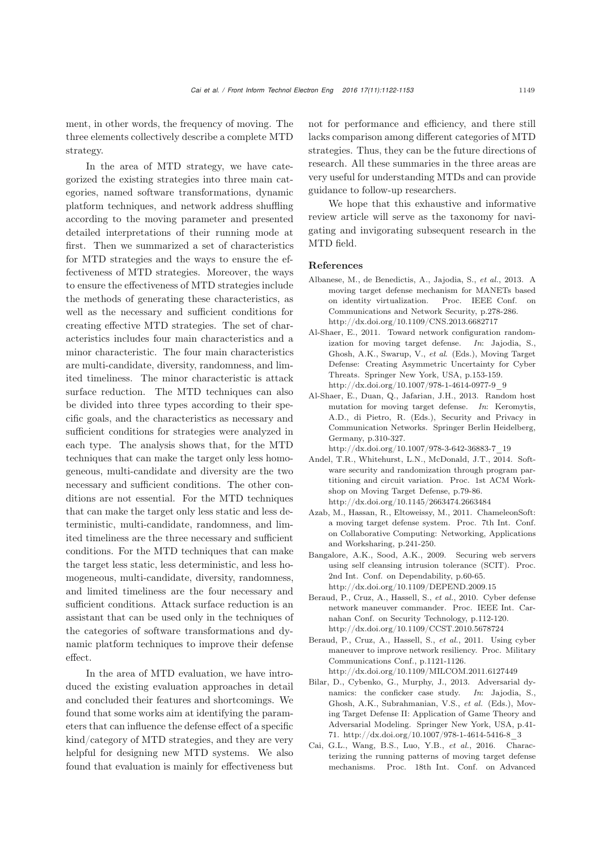ment, in other words, the frequency of moving. The three elements collectively describe a complete MTD strategy.

In the area of MTD strategy, we have categorized the existing strategies into three main categories, named software transformations, dynamic platform techniques, and network address shuffling according to the moving parameter and presented detailed interpretations of their running mode at first. Then we summarized a set of characteristics for MTD strategies and the ways to ensure the effectiveness of MTD strategies. Moreover, the ways to ensure the effectiveness of MTD strategies include the methods of generating these characteristics, as well as the necessary and sufficient conditions for creating effective MTD strategies. The set of characteristics includes four main characteristics and a minor characteristic. The four main characteristics are multi-candidate, diversity, randomness, and limited timeliness. The minor characteristic is attack surface reduction. The MTD techniques can also be divided into three types according to their specific goals, and the characteristics as necessary and sufficient conditions for strategies were analyzed in each type. The analysis shows that, for the MTD techniques that can make the target only less homogeneous, multi-candidate and diversity are the two necessary and sufficient conditions. The other conditions are not essential. For the MTD techniques that can make the target only less static and less deterministic, multi-candidate, randomness, and limited timeliness are the three necessary and sufficient conditions. For the MTD techniques that can make the target less static, less deterministic, and less homogeneous, multi-candidate, diversity, randomness, and limited timeliness are the four necessary and sufficient conditions. Attack surface reduction is an assistant that can be used only in the techniques of the categories of software transformations and dynamic platform techniques to improve their defense effect.

In the area of MTD evaluation, we have introduced the existing evaluation approaches in detail and concluded their features and shortcomings. We found that some works aim at identifying the parameters that can influence the defense effect of a specific kind/category of MTD strategies, and they are very helpful for designing new MTD systems. We also found that evaluation is mainly for effectiveness but

not for performance and efficiency, and there still lacks comparison among different categories of MTD strategies. Thus, they can be the future directions of research. All these summaries in the three areas are very useful for understanding MTDs and can provide guidance to follow-up researchers.

We hope that this exhaustive and informative review article will serve as the taxonomy for navigating and invigorating subsequent research in the MTD field.

# References

- Albanese, M., de Benedictis, A., Jajodia, S., *et al.*, 2013. A moving target defense mechanism for MANETs based on identity virtualization. Proc. IEEE Conf. on Communications and Network Security, p.278-286. http://dx.doi.org/10.1109/CNS.2013.6682717
- Al-Shaer, E., 2011. Toward network configuration randomization for moving target defense. *In*: Jajodia, S., Ghosh, A.K., Swarup, V., *et al*. (Eds.), Moving Target Defense: Creating Asymmetric Uncertainty for Cyber Threats. Springer New York, USA, p.153-159. http://dx.doi.org/10.1007/978-1-4614-0977-9\_9
- Al-Shaer, E., Duan, Q., Jafarian, J.H., 2013. Random host mutation for moving target defense. *In*: Keromytis, A.D., di Pietro, R. (Eds.), Security and Privacy in Communication Networks. Springer Berlin Heidelberg, Germany, p.310-327.

http://dx.doi.org/10.1007/978-3-642-36883-7\_19

- Andel, T.R., Whitehurst, L.N., McDonald, J.T., 2014. Software security and randomization through program partitioning and circuit variation. Proc. 1st ACM Workshop on Moving Target Defense, p.79-86. http://dx.doi.org/10.1145/2663474.2663484
- Azab, M., Hassan, R., Eltoweissy, M., 2011. ChameleonSoft: a moving target defense system. Proc. 7th Int. Conf. on Collaborative Computing: Networking, Applications and Worksharing, p.241-250.
- Bangalore, A.K., Sood, A.K., 2009. Securing web servers using self cleansing intrusion tolerance (SCIT). Proc. 2nd Int. Conf. on Dependability, p.60-65. http://dx.doi.org/10.1109/DEPEND.2009.15
- Beraud, P., Cruz, A., Hassell, S., *et al.*, 2010. Cyber defense network maneuver commander. Proc. IEEE Int. Carnahan Conf. on Security Technology, p.112-120. http://dx.doi.org/10.1109/CCST.2010.5678724
- Beraud, P., Cruz, A., Hassell, S., *et al.*, 2011. Using cyber maneuver to improve network resiliency. Proc. Military Communications Conf., p.1121-1126. http://dx.doi.org/10.1109/MILCOM.2011.6127449
- Bilar, D., Cybenko, G., Murphy, J., 2013. Adversarial dynamics: the conficker case study. *In*: Jajodia, S., Ghosh, A.K., Subrahmanian, V.S., *et al.* (Eds.), Moving Target Defense II: Application of Game Theory and Adversarial Modeling. Springer New York, USA, p.41- 71. http://dx.doi.org/10.1007/978-1-4614-5416-8 $\,$ 3
- Cai, G.L., Wang, B.S., Luo, Y.B., *et al.*, 2016. Characterizing the running patterns of moving target defense mechanisms. Proc. 18th Int. Conf. on Advanced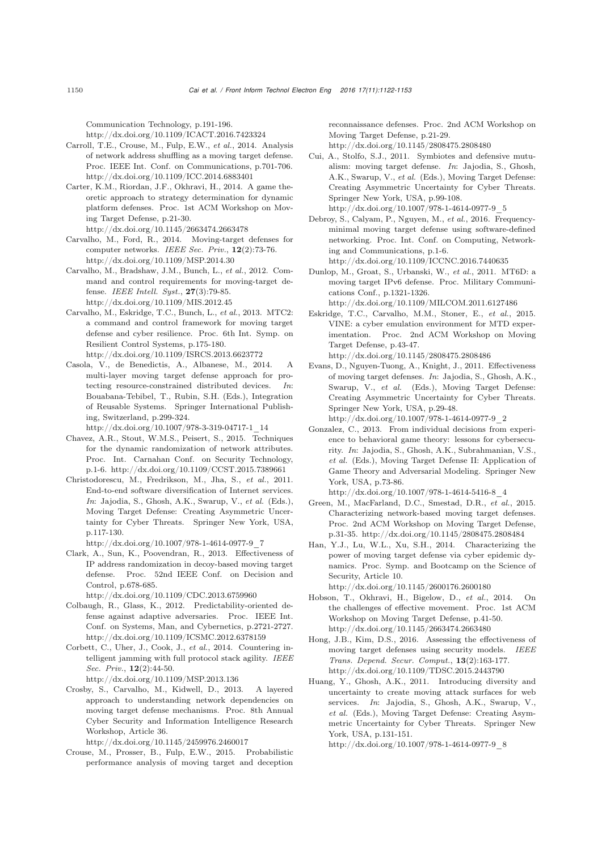Communication Technology, p.191-196.

http://dx.doi.org/10.1109/ICACT.2016.7423324

- Carroll, T.E., Crouse, M., Fulp, E.W., *et al.*, 2014. Analysis of network address shuffling as a moving target defense. Proc. IEEE Int. Conf. on Communications, p.701-706. http://dx.doi.org/10.1109/ICC.2014.6883401
- Carter, K.M., Riordan, J.F., Okhravi, H., 2014. A game theoretic approach to strategy determination for dynamic platform defenses. Proc. 1st ACM Workshop on Moving Target Defense, p.21-30.

http://dx.doi.org/10.1145/2663474.2663478

- Carvalho, M., Ford, R., 2014. Moving-target defenses for computer networks. *IEEE Sec. Priv.*, 12(2):73-76. http://dx.doi.org/10.1109/MSP.2014.30
- Carvalho, M., Bradshaw, J.M., Bunch, L., *et al.*, 2012. Command and control requirements for moving-target defense. *IEEE Intell. Syst.*, 27(3):79-85. http://dx.doi.org/10.1109/MIS.2012.45
- Carvalho, M., Eskridge, T.C., Bunch, L., *et al.*, 2013. MTC2: a command and control framework for moving target defense and cyber resilience. Proc. 6th Int. Symp. on Resilient Control Systems, p.175-180. http://dx.doi.org/10.1109/ISRCS.2013.6623772
- Casola, V., de Benedictis, A., Albanese, M., 2014. A multi-layer moving target defense approach for protecting resource-constrained distributed devices. *In*: Bouabana-Tebibel, T., Rubin, S.H. (Eds.), Integration of Reusable Systems. Springer International Publishing, Switzerland, p.299-324.

http://dx.doi.org/10.1007/978-3-319-04717-1\_14

- Chavez, A.R., Stout, W.M.S., Peisert, S., 2015. Techniques for the dynamic randomization of network attributes. Proc. Int. Carnahan Conf. on Security Technology, p.1-6. http://dx.doi.org/10.1109/CCST.2015.7389661
- Christodorescu, M., Fredrikson, M., Jha, S., *et al.*, 2011. End-to-end software diversification of Internet services. *In*: Jajodia, S., Ghosh, A.K., Swarup, V., *et al.* (Eds.), Moving Target Defense: Creating Asymmetric Uncertainty for Cyber Threats. Springer New York, USA, p.117-130.

http://dx.doi.org/10.1007/978-1-4614-0977-9\_7

Clark, A., Sun, K., Poovendran, R., 2013. Effectiveness of IP address randomization in decoy-based moving target defense. Proc. 52nd IEEE Conf. on Decision and Control, p.678-685.

http://dx.doi.org/10.1109/CDC.2013.6759960 Colbaugh, R., Glass, K., 2012. Predictability-oriented de-

- fense against adaptive adversaries. Proc. IEEE Int. Conf. on Systems, Man, and Cybernetics, p.2721-2727. http://dx.doi.org/10.1109/ICSMC.2012.6378159
- Corbett, C., Uher, J., Cook, J., *et al.*, 2014. Countering intelligent jamming with full protocol stack agility. *IEEE Sec. Priv.*, 12(2):44-50.

http://dx.doi.org/10.1109/MSP.2013.136

Crosby, S., Carvalho, M., Kidwell, D., 2013. A layered approach to understanding network dependencies on moving target defense mechanisms. Proc. 8th Annual Cyber Security and Information Intelligence Research Workshop, Article 36.

http://dx.doi.org/10.1145/2459976.2460017

Crouse, M., Prosser, B., Fulp, E.W., 2015. Probabilistic performance analysis of moving target and deception

reconnaissance defenses. Proc. 2nd ACM Workshop on Moving Target Defense, p.21-29. http://dx.doi.org/10.1145/2808475.2808480

Cui, A., Stolfo, S.J., 2011. Symbiotes and defensive mutualism: moving target defense. *In*: Jajodia, S., Ghosh, A.K., Swarup, V., *et al.* (Eds.), Moving Target Defense: Creating Asymmetric Uncertainty for Cyber Threats. Springer New York, USA, p.99-108.

http://dx.doi.org/10.1007/978-1-4614-0977-9\_5

Debroy, S., Calyam, P., Nguyen, M., *et al.*, 2016. Frequencyminimal moving target defense using software-defined networking. Proc. Int. Conf. on Computing, Networking and Communications, p.1-6.

http://dx.doi.org/10.1109/ICCNC.2016.7440635

Dunlop, M., Groat, S., Urbanski, W., *et al.*, 2011. MT6D: a moving target IPv6 defense. Proc. Military Communications Conf., p.1321-1326.

http://dx.doi.org/10.1109/MILCOM.2011.6127486

- Eskridge, T.C., Carvalho, M.M., Stoner, E., *et al.*, 2015. VINE: a cyber emulation environment for MTD experimentation. Proc. 2nd ACM Workshop on Moving Target Defense, p.43-47. http://dx.doi.org/10.1145/2808475.2808486
- Evans, D., Nguyen-Tuong, A., Knight, J., 2011. Effectiveness of moving target defenses. *In*: Jajodia, S., Ghosh, A.K., Swarup, V., *et al.* (Eds.), Moving Target Defense: Creating Asymmetric Uncertainty for Cyber Threats. Springer New York, USA, p.29-48.

http://dx.doi.org/10.1007/978-1-4614-0977-9\_2

- Gonzalez, C., 2013. From individual decisions from experience to behavioral game theory: lessons for cybersecurity. *In*: Jajodia, S., Ghosh, A.K., Subrahmanian, V.S., *et al.* (Eds.), Moving Target Defense II: Application of Game Theory and Adversarial Modeling. Springer New York, USA, p.73-86.
	- http://dx.doi.org/10.1007/978-1-4614-5416-8\_4
- Green, M., MacFarland, D.C., Smestad, D.R., *et al.*, 2015. Characterizing network-based moving target defenses. Proc. 2nd ACM Workshop on Moving Target Defense, p.31-35. http://dx.doi.org/10.1145/2808475.2808484
- Han, Y.J., Lu, W.L., Xu, S.H., 2014. Characterizing the power of moving target defense via cyber epidemic dynamics. Proc. Symp. and Bootcamp on the Science of Security, Article 10.

http://dx.doi.org/10.1145/2600176.2600180

- Hobson, T., Okhravi, H., Bigelow, D., *et al.*, 2014. On the challenges of effective movement. Proc. 1st ACM Workshop on Moving Target Defense, p.41-50. http://dx.doi.org/10.1145/2663474.2663480
- Hong, J.B., Kim, D.S., 2016. Assessing the effectiveness of moving target defenses using security models. *IEEE Trans. Depend. Secur. Comput.*, 13(2):163-177. http://dx.doi.org/10.1109/TDSC.2015.2443790
- Huang, Y., Ghosh, A.K., 2011. Introducing diversity and uncertainty to create moving attack surfaces for web services. *In*: Jajodia, S., Ghosh, A.K., Swarup, V., *et al.* (Eds.), Moving Target Defense: Creating Asymmetric Uncertainty for Cyber Threats. Springer New York, USA, p.131-151.

http://dx.doi.org/10.1007/978-1-4614-0977-9\_8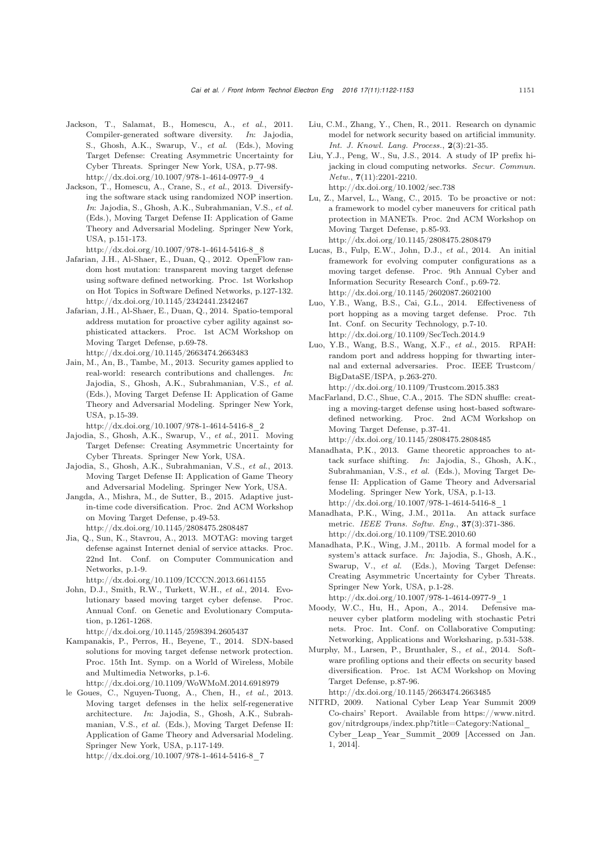- Jackson, T., Salamat, B., Homescu, A., *et al.*, 2011. Compiler-generated software diversity. *In*: Jajodia, S., Ghosh, A.K., Swarup, V., *et al.* (Eds.), Moving Target Defense: Creating Asymmetric Uncertainty for Cyber Threats. Springer New York, USA, p.77-98. http://dx.doi.org/10.1007/978-1-4614-0977-9\_4
- Jackson, T., Homescu, A., Crane, S., *et al.*, 2013. Diversifying the software stack using randomized NOP insertion. *In*: Jajodia, S., Ghosh, A.K., Subrahmanian, V.S., *et al.* (Eds.), Moving Target Defense II: Application of Game Theory and Adversarial Modeling. Springer New York, USA, p.151-173.

http://dx.doi.org/10.1007/978-1-4614-5416-8\_8

- Jafarian, J.H., Al-Shaer, E., Duan, Q., 2012. OpenFlow random host mutation: transparent moving target defense using software defined networking. Proc. 1st Workshop on Hot Topics in Software Defined Networks, p.127-132. http://dx.doi.org/10.1145/2342441.2342467
- Jafarian, J.H., Al-Shaer, E., Duan, Q., 2014. Spatio-temporal address mutation for proactive cyber agility against sophisticated attackers. Proc. 1st ACM Workshop on Moving Target Defense, p.69-78.
- http://dx.doi.org/10.1145/2663474.2663483 Jain, M., An, B., Tambe, M., 2013. Security games applied to real-world: research contributions and challenges. *In*: Jajodia, S., Ghosh, A.K., Subrahmanian, V.S., *et al.* (Eds.), Moving Target Defense II: Application of Game Theory and Adversarial Modeling. Springer New York, USA, p.15-39.

http://dx.doi.org/10.1007/978-1-4614-5416-8\_2

- Jajodia, S., Ghosh, A.K., Swarup, V., *et al.*, 2011. Moving Target Defense: Creating Asymmetric Uncertainty for Cyber Threats. Springer New York, USA.
- Jajodia, S., Ghosh, A.K., Subrahmanian, V.S., *et al.*, 2013. Moving Target Defense II: Application of Game Theory and Adversarial Modeling. Springer New York, USA.
- Jangda, A., Mishra, M., de Sutter, B., 2015. Adaptive justin-time code diversification. Proc. 2nd ACM Workshop on Moving Target Defense, p.49-53. http://dx.doi.org/10.1145/2808475.2808487
- Jia, Q., Sun, K., Stavrou, A., 2013. MOTAG: moving target defense against Internet denial of service attacks. Proc. 22nd Int. Conf. on Computer Communication and Networks, p.1-9.

http://dx.doi.org/10.1109/ICCCN.2013.6614155

John, D.J., Smith, R.W., Turkett, W.H., *et al.*, 2014. Evolutionary based moving target cyber defense. Proc. Annual Conf. on Genetic and Evolutionary Computation, p.1261-1268.

http://dx.doi.org/10.1145/2598394.2605437

Kampanakis, P., Perros, H., Beyene, T., 2014. SDN-based solutions for moving target defense network protection. Proc. 15th Int. Symp. on a World of Wireless, Mobile and Multimedia Networks, p.1-6.

http://dx.doi.org/10.1109/WoWMoM.2014.6918979

le Goues, C., Nguyen-Tuong, A., Chen, H., *et al.*, 2013. Moving target defenses in the helix self-regenerative architecture. *In*: Jajodia, S., Ghosh, A.K., Subrahmanian, V.S., *et al.* (Eds.), Moving Target Defense II: Application of Game Theory and Adversarial Modeling. Springer New York, USA, p.117-149.

http://dx.doi.org/10.1007/978-1-4614-5416-8\_7

- Liu, C.M., Zhang, Y., Chen, R., 2011. Research on dynamic model for network security based on artificial immunity. *Int. J. Knowl. Lang. Process.*, 2(3):21-35.
- Liu, Y.J., Peng, W., Su, J.S., 2014. A study of IP prefix hijacking in cloud computing networks. *Secur. Commun. Netw.*, 7(11):2201-2210. http://dx.doi.org/10.1002/sec.738
- Lu, Z., Marvel, L., Wang, C., 2015. To be proactive or not: a framework to model cyber maneuvers for critical path protection in MANETs. Proc. 2nd ACM Workshop on Moving Target Defense, p.85-93. http://dx.doi.org/10.1145/2808475.2808479
- Lucas, B., Fulp, E.W., John, D.J., *et al.*, 2014. An initial framework for evolving computer configurations as a moving target defense. Proc. 9th Annual Cyber and Information Security Research Conf., p.69-72. http://dx.doi.org/10.1145/2602087.2602100
- Luo, Y.B., Wang, B.S., Cai, G.L., 2014. Effectiveness of port hopping as a moving target defense. Proc. 7th Int. Conf. on Security Technology, p.7-10. http://dx.doi.org/10.1109/SecTech.2014.9
- Luo, Y.B., Wang, B.S., Wang, X.F., *et al.*, 2015. RPAH: random port and address hopping for thwarting internal and external adversaries. Proc. IEEE Trustcom/ BigDataSE/ISPA, p.263-270. http://dx.doi.org/10.1109/Trustcom.2015.383
- MacFarland, D.C., Shue, C.A., 2015. The SDN shuffle: creating a moving-target defense using host-based softwaredefined networking. Proc. 2nd ACM Workshop on Moving Target Defense, p.37-41.

http://dx.doi.org/10.1145/2808475.2808485

- Manadhata, P.K., 2013. Game theoretic approaches to attack surface shifting. *In*: Jajodia, S., Ghosh, A.K., Subrahmanian, V.S., *et al.* (Eds.), Moving Target Defense II: Application of Game Theory and Adversarial Modeling. Springer New York, USA, p.1-13. http://dx.doi.org/10.1007/978-1-4614-5416-8\_1
- Manadhata, P.K., Wing, J.M., 2011a. An attack surface metric. *IEEE Trans. Softw. Eng.*, 37(3):371-386. http://dx.doi.org/10.1109/TSE.2010.60
- Manadhata, P.K., Wing, J.M., 2011b. A formal model for a system's attack surface. *In*: Jajodia, S., Ghosh, A.K., Swarup, V., *et al.* (Eds.), Moving Target Defense: Creating Asymmetric Uncertainty for Cyber Threats. Springer New York, USA, p.1-28.

http://dx.doi.org/10.1007/978-1-4614-0977-9\_1 Moody, W.C., Hu, H., Apon, A., 2014. Defensive ma-

- neuver cyber platform modeling with stochastic Petri nets. Proc. Int. Conf. on Collaborative Computing: Networking, Applications and Worksharing, p.531-538.
- Murphy, M., Larsen, P., Brunthaler, S., *et al.*, 2014. Software profiling options and their effects on security based diversification. Proc. 1st ACM Workshop on Moving Target Defense, p.87-96.

http://dx.doi.org/10.1145/2663474.2663485

NITRD, 2009. National Cyber Leap Year Summit 2009 Co-chairs' Report. Available from https://www.nitrd. gov/nitrdgroups/index.php?title=Category:National\_ Cyber\_Leap\_Year\_Summit\_2009 [Accessed on Jan. 1, 2014].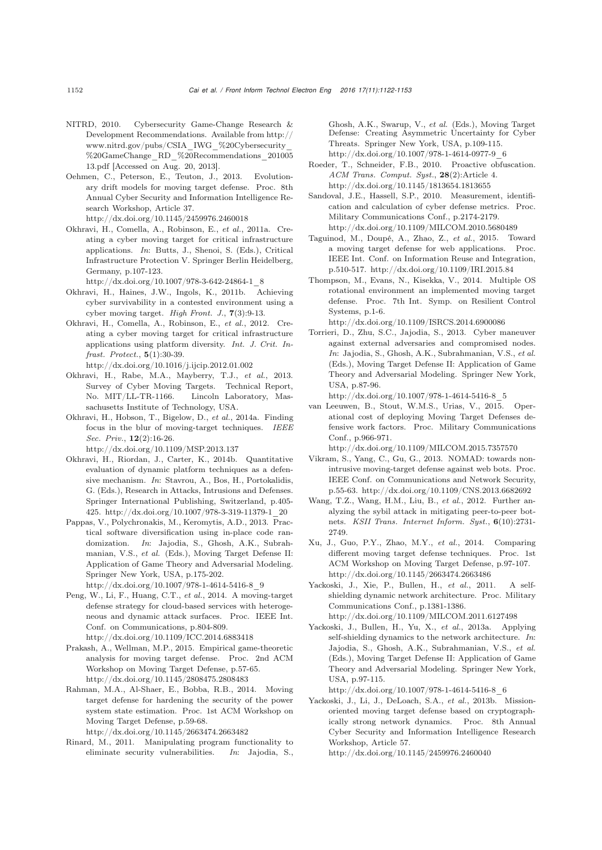- NITRD, 2010. Cybersecurity Game-Change Research & Development Recommendations. Available from http:// www.nitrd.gov/pubs/CSIA\_IWG\_%20Cybersecurity\_ %20GameChange\_RD\_%20Recommendations\_201005 13.pdf [Accessed on Aug. 20, 2013].
- Oehmen, C., Peterson, E., Teuton, J., 2013. Evolutionary drift models for moving target defense. Proc. 8th Annual Cyber Security and Information Intelligence Research Workshop, Article 37.
	- http://dx.doi.org/10.1145/2459976.2460018
- Okhravi, H., Comella, A., Robinson, E., *et al.*, 2011a. Creating a cyber moving target for critical infrastructure applications. *In*: Butts, J., Shenoi, S. (Eds.), Critical Infrastructure Protection V. Springer Berlin Heidelberg, Germany, p.107-123.

<code>http://dx.doi.org/10.1007/978-3-642-24864-1 $\_8$ </code>

- Okhravi, H., Haines, J.W., Ingols, K., 2011b. Achieving cyber survivability in a contested environment using a cyber moving target. *High Front. J.*, 7(3):9-13.
- Okhravi, H., Comella, A., Robinson, E., *et al.*, 2012. Creating a cyber moving target for critical infrastructure applications using platform diversity. *Int. J. Crit. Infrast. Protect.*, 5(1):30-39. http://dx.doi.org/10.1016/j.ijcip.2012.01.002
- Okhravi, H., Rabe, M.A., Mayberry, T.J., *et al.*, 2013. Survey of Cyber Moving Targets. Technical Report, No. MIT/LL-TR-1166. Lincoln Laboratory, Massachusetts Institute of Technology, USA.
- Okhravi, H., Hobson, T., Bigelow, D., *et al.*, 2014a. Finding focus in the blur of moving-target techniques. *IEEE Sec. Priv.*, 12(2):16-26.

http://dx.doi.org/10.1109/MSP.2013.137

- Okhravi, H., Riordan, J., Carter, K., 2014b. Quantitative evaluation of dynamic platform techniques as a defensive mechanism. *In*: Stavrou, A., Bos, H., Portokalidis, G. (Eds.), Research in Attacks, Intrusions and Defenses. Springer International Publishing, Switzerland, p.405- 425. http://dx.doi.org/10.1007/978-3-319-11379-1\_20
- Pappas, V., Polychronakis, M., Keromytis, A.D., 2013. Practical software diversification using in-place code randomization. *In*: Jajodia, S., Ghosh, A.K., Subrahmanian, V.S., *et al.* (Eds.), Moving Target Defense II: Application of Game Theory and Adversarial Modeling. Springer New York, USA, p.175-202. http://dx.doi.org/10.1007/978-1-4614-5416-8\_9
- Peng, W., Li, F., Huang, C.T., *et al.*, 2014. A moving-target defense strategy for cloud-based services with heterogeneous and dynamic attack surfaces. Proc. IEEE Int. Conf. on Communications, p.804-809. http://dx.doi.org/10.1109/ICC.2014.6883418
- Prakash, A., Wellman, M.P., 2015. Empirical game-theoretic analysis for moving target defense. Proc. 2nd ACM Workshop on Moving Target Defense, p.57-65. http://dx.doi.org/10.1145/2808475.2808483
- Rahman, M.A., Al-Shaer, E., Bobba, R.B., 2014. Moving target defense for hardening the security of the power system state estimation. Proc. 1st ACM Workshop on Moving Target Defense, p.59-68.

http://dx.doi.org/10.1145/2663474.2663482 Rinard, M., 2011. Manipulating program functionality to

eliminate security vulnerabilities. *In*: Jajodia, S.,

Ghosh, A.K., Swarup, V., *et al.* (Eds.), Moving Target Defense: Creating Asymmetric Uncertainty for Cyber Threats. Springer New York, USA, p.109-115. http://dx.doi.org/10.1007/978-1-4614-0977-9\_6

- Roeder, T., Schneider, F.B., 2010. Proactive obfuscation. *ACM Trans. Comput. Syst.*, 28(2):Article 4. http://dx.doi.org/10.1145/1813654.1813655
- Sandoval, J.E., Hassell, S.P., 2010. Measurement, identification and calculation of cyber defense metrics. Proc. Military Communications Conf., p.2174-2179. http://dx.doi.org/10.1109/MILCOM.2010.5680489
- Taguinod, M., Doupé, A., Zhao, Z., *et al.*, 2015. Toward a moving target defense for web applications. Proc. IEEE Int. Conf. on Information Reuse and Integration, p.510-517. http://dx.doi.org/10.1109/IRI.2015.84
- Thompson, M., Evans, N., Kisekka, V., 2014. Multiple OS rotational environment an implemented moving target defense. Proc. 7th Int. Symp. on Resilient Control Systems, p.1-6.
- http://dx.doi.org/10.1109/ISRCS.2014.6900086 Torrieri, D., Zhu, S.C., Jajodia, S., 2013. Cyber maneuver
- against external adversaries and compromised nodes. *In*: Jajodia, S., Ghosh, A.K., Subrahmanian, V.S., *et al.* (Eds.), Moving Target Defense II: Application of Game Theory and Adversarial Modeling. Springer New York, USA, p.87-96.

http://dx.doi.org/10.1007/978-1-4614-5416-8\_5

van Leeuwen, B., Stout, W.M.S., Urias, V., 2015. Operational cost of deploying Moving Target Defenses defensive work factors. Proc. Military Communications Conf., p.966-971.

http://dx.doi.org/10.1109/MILCOM.2015.7357570

- Vikram, S., Yang, C., Gu, G., 2013. NOMAD: towards nonintrusive moving-target defense against web bots. Proc. IEEE Conf. on Communications and Network Security, p.55-63. http://dx.doi.org/10.1109/CNS.2013.6682692
- Wang, T.Z., Wang, H.M., Liu, B., *et al.*, 2012. Further analyzing the sybil attack in mitigating peer-to-peer botnets. *KSII Trans. Internet Inform. Syst.*, 6(10):2731- 2749.
- Xu, J., Guo, P.Y., Zhao, M.Y., *et al.*, 2014. Comparing different moving target defense techniques. Proc. 1st ACM Workshop on Moving Target Defense, p.97-107. http://dx.doi.org/10.1145/2663474.2663486
- Yackoski, J., Xie, P., Bullen, H., *et al.*, 2011. A selfshielding dynamic network architecture. Proc. Military Communications Conf., p.1381-1386.

http://dx.doi.org/10.1109/MILCOM.2011.6127498

Yackoski, J., Bullen, H., Yu, X., *et al.*, 2013a. Applying self-shielding dynamics to the network architecture. *In*: Jajodia, S., Ghosh, A.K., Subrahmanian, V.S., *et al.* (Eds.), Moving Target Defense II: Application of Game Theory and Adversarial Modeling. Springer New York, USA, p.97-115.

http://dx.doi.org/10.1007/978-1-4614-5416-8\_6

Yackoski, J., Li, J., DeLoach, S.A., *et al.*, 2013b. Missionoriented moving target defense based on cryptographically strong network dynamics. Proc. 8th Annual Cyber Security and Information Intelligence Research Workshop, Article 57.

http://dx.doi.org/10.1145/2459976.2460040